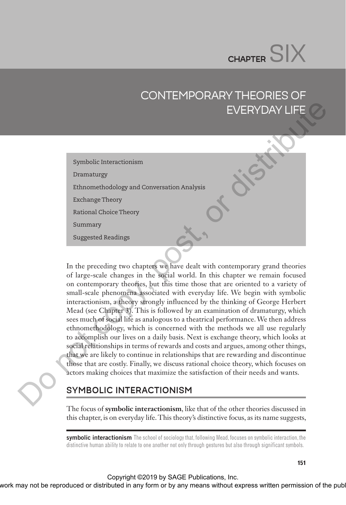

# CONTEMPORARY THEORIES OF EVERYDAY LIFE

Symbolic Interactionism

Dramaturgy

Ethnomethodology and Conversation Analysis

Exchange Theory

Rational Choice Theory

Summary

Suggested Readings

In the preceding two chapters we have dealt with contemporary grand theories of large-scale changes in the social world. In this chapter we remain focused on contemporary theories, but this time those that are oriented to a variety of small-scale phenomena associated with everyday life. We begin with symbolic interactionism, a theory strongly influenced by the thinking of George Herbert Mead (see Chapter 3). This is followed by an examination of dramaturgy, which sees much of social life as analogous to a theatrical performance. We then address ethnomethodology, which is concerned with the methods we all use regularly to accomplish our lives on a daily basis. Next is exchange theory, which looks at social relationships in terms of rewards and costs and argues, among other things, that we are likely to continue in relationships that are rewarding and discontinue those that are costly. Finally, we discuss rational choice theory, which focuses on actors making choices that maximize the satisfaction of their needs and wants. THE ERV DAY LIFE CONTINUE CONTINUE CONTINUES CONTINUES AND CONTINUES ARE CONTINUES AND CONTINUES ARE CONTINUES AND CONTINUES ARE CONTINUES ARE CONTINUES AND CONTINUES ARE CONTINUES AND CONTINUES ARE CONTINUES ARE CONTINUE



# **SYMBOLIC INTERACTIONISM**

The focus of **symbolic interactionism**, like that of the other theories discussed in this chapter, is on everyday life. This theory's distinctive focus, as its name suggests,

symbolic interactionism The school of sociology that, following Mead, focuses on symbolic interaction, the distinctive human ability to relate to one another not only through gestures but also through significant symbols.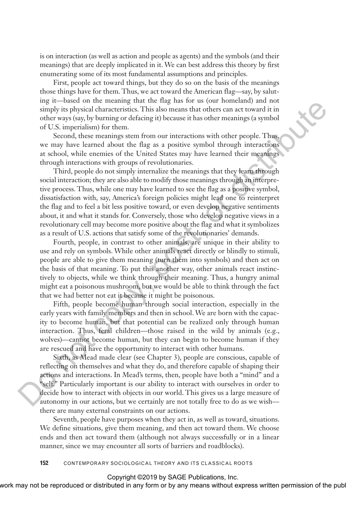is on interaction (as well as action and people as agents) and the symbols (and their meanings) that are deeply implicated in it. We can best address this theory by first enumerating some of its most fundamental assumptions and principles.

First, people act toward things, but they do so on the basis of the meanings those things have for them. Thus, we act toward the American flag—say, by saluting it—based on the meaning that the flag has for us (our homeland) and not simply its physical characteristics. This also means that others can act toward it in other ways (say, by burning or defacing it) because it has other meanings (a symbol of U.S. imperialism) for them.

Second, these meanings stem from our interactions with other people. Thus, we may have learned about the flag as a positive symbol through interactions at school, while enemies of the United States may have learned their meanings through interactions with groups of revolutionaries.

Third, people do not simply internalize the meanings that they learn through social interaction; they are also able to modify those meanings through an interpretive process. Thus, while one may have learned to see the flag as a positive symbol, dissatisfaction with, say, America's foreign policies might lead one to reinterpret the flag and to feel a bit less positive toward, or even develop negative sentiments about, it and what it stands for. Conversely, those who develop negative views in a revolutionary cell may become more positive about the flag and what it symbolizes as a result of U.S. actions that satisfy some of the revolutionaries' demands. The matrix work may not be reproduced or distributed in any form or by any form or by any form or the reproduced or distributed in any form or by any form or by any form or by any form or the publisher. So wonded in this

Fourth, people, in contrast to other animals, are unique in their ability to use and rely on symbols. While other animals react directly or blindly to stimuli, people are able to give them meaning (turn them into symbols) and then act on the basis of that meaning. To put this another way, other animals react instinctively to objects, while we think through their meaning. Thus, a hungry animal might eat a poisonous mushroom, but we would be able to think through the fact that we had better not eat it because it might be poisonous.

Fifth, people become human through social interaction, especially in the early years with family members and then in school. We are born with the capacity to become human, but that potential can be realized only through human interaction. Thus, feral children—those raised in the wild by animals (e.g., wolves)—cannot become human, but they can begin to become human if they are rescued and have the opportunity to interact with other humans.

Sixth, as Mead made clear (see Chapter 3), people are conscious, capable of reflecting on themselves and what they do, and therefore capable of shaping their actions and interactions. In Mead's terms, then, people have both a "mind" and a "self." Particularly important is our ability to interact with ourselves in order to decide how to interact with objects in our world. This gives us a large measure of autonomy in our actions, but we certainly are not totally free to do as we wish there are many external constraints on our actions.

Seventh, people have purposes when they act in, as well as toward, situations. We define situations, give them meaning, and then act toward them. We choose ends and then act toward them (although not always successfully or in a linear manner, since we may encounter all sorts of barriers and roadblocks).

#### **152** CONTEMPORARY SOCIOLOGICAL THEORY AND ITS CLASSICAL ROOTS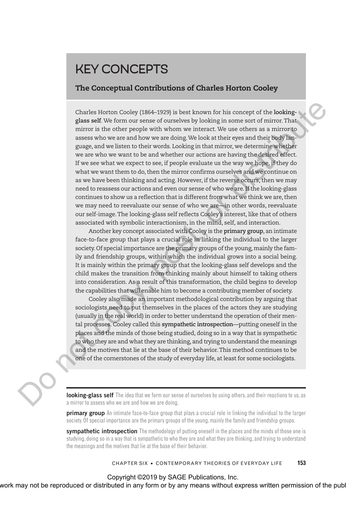# KEY CONCEPTS

## The Conceptual Contributions of Charles Horton Cooley

Charles Horton Cooley (1864–1929) is best known for his concept of the **lookingglass self**. We form our sense of ourselves by looking in some sort of mirror. That mirror is the other people with whom we interact. We use others as a mirror to assess who we are and how we are doing. We look at their eyes and their body language, and we listen to their words. Looking in that mirror, we determine whether we are who we want to be and whether our actions are having the desired effect. If we see what we expect to see, if people evaluate us the way we hope, if they do what we want them to do, then the mirror confirms ourselves and we continue on as we have been thinking and acting. However, if the reverse occurs, then we may need to reassess our actions and even our sense of who we are. If the looking-glass continues to show us a reflection that is different from what we think we are, then we may need to reevaluate our sense of who we are—in other words, reevaluate our self-image. The looking-glass self reflects Cooley's interest, like that of others associated with symbolic interactionism, in the mind, self, and interaction. Charles Horton Cooley (1994–1999) is been because of the latentity of the reproduced in any form or by any form or by any form or by any form or by any form or by any form or by any form or by any form or by any form or b

Another key concept associated with Cooley is the **primary group**, an intimate face-to-face group that plays a crucial role in linking the individual to the larger society. Of special importance are the primary groups of the young, mainly the family and friendship groups, within which the individual grows into a social being. It is mainly within the primary group that the looking-glass self develops and the child makes the transition from thinking mainly about himself to taking others into consideration. As a result of this transformation, the child begins to develop the capabilities that will enable him to become a contributing member of society.

Cooley also made an important methodological contribution by arguing that sociologists need to put themselves in the places of the actors they are studying (usually in the real world) in order to better understand the operation of their mental processes. Cooley called this **sympathetic introspection**—putting oneself in the places and the minds of those being studied, doing so in a way that is sympathetic to who they are and what they are thinking, and trying to understand the meanings and the motives that lie at the base of their behavior. This method continues to be one of the cornerstones of the study of everyday life, at least for some sociologists.



**looking-glass self** The idea that we form our sense of ourselves by using others, and their reactions to us, as a mirror to assess who we are and how we are doing.

**primary group** An intimate face-to-face group that plays a crucial role in linking the individual to the larger society. Of special importance are the primary groups of the young, mainly the family and friendship groups.

sympathetic introspection The methodology of putting oneself in the places and the minds of those one is studying, doing so in a way that is sympathetic to who they are and what they are thinking, and trying to understand the meanings and the motives that lie at the base of their behavior.

chapter six • Contemporary Theories of Everyday Life **153**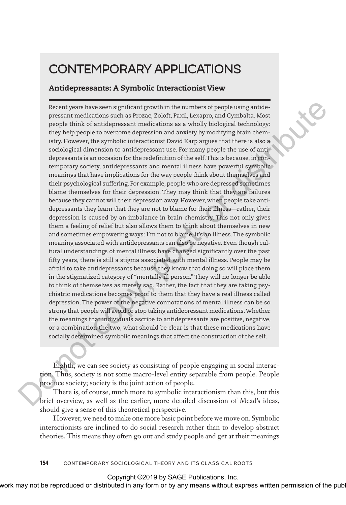# CONTEMPORARY APPLICATIONS

# Antidepressants: A Symbolic Interactionist View

Recent years have seen significant growth in the numbers of people using antidepressant medications such as Prozac, Zoloft, Paxil, Lexapro, and Cymbalta. Most people think of antidepressant medications as a wholly biological technology: they help people to overcome depression and anxiety by modifying brain chemistry. However, the symbolic interactionist David Karp argues that there is also a sociological dimension to antidepressant use. For many people the use of antidepressants is an occasion for the redefinition of the self. This is because, in contemporary society, antidepressants and mental illness have powerful symbolic meanings that have implications for the way people think about themselves and their psychological suffering. For example, people who are depressed sometimes blame themselves for their depression. They may think that they are failures because they cannot will their depression away. However, when people take antidepressants they learn that they are not to blame for their illness—rather, their depression is caused by an imbalance in brain chemistry. This not only gives them a feeling of relief but also allows them to think about themselves in new and sometimes empowering ways: I'm not to blame, it's an illness. The symbolic meaning associated with antidepressants can also be negative. Even though cultural understandings of mental illness have changed significantly over the past fifty years, there is still a stigma associated with mental illness. People may be afraid to take antidepressants because they know that doing so will place them in the stigmatized category of "mentally ill person." They will no longer be able to think of themselves as merely sad. Rather, the fact that they are taking psychiatric medications becomes proof to them that they have a real illness called depression. The power of the negative connotations of mental illness can be so strong that people will avoid or stop taking antidepressant medications. Whether the meanings that individuals ascribe to antidepressants are positive, negative, or a combination the two, what should be clear is that these medications have socially determined symbolic meanings that affect the construction of the self. Nextra types the Ross of the rest including the reproduced or distributed in any form or between the reproduced or the publisher and the publisher or the publisher or the publisher or the publisher or distributed in a spe

Eighth, we can see society as consisting of people engaging in social interaction. Thus, society is not some macro-level entity separable from people. People produce society; society is the joint action of people.

There is, of course, much more to symbolic interactionism than this, but this brief overview, as well as the earlier, more detailed discussion of Mead's ideas, should give a sense of this theoretical perspective.

However, we need to make one more basic point before we move on. Symbolic interactionists are inclined to do social research rather than to develop abstract theories. This means they often go out and study people and get at their meanings

#### **154** CONTEMPORARY SOCIOLOGICAL THEORY AND ITS CLASSICAL ROOTS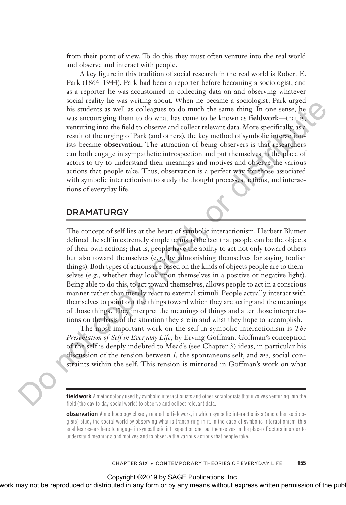from their point of view. To do this they must often venture into the real world and observe and interact with people.

A key figure in this tradition of social research in the real world is Robert E. Park (1864–1944). Park had been a reporter before becoming a sociologist, and as a reporter he was accustomed to collecting data on and observing whatever social reality he was writing about. When he became a sociologist, Park urged his students as well as colleagues to do much the same thing. In one sense, he was encouraging them to do what has come to be known as **fieldwork**—that is, venturing into the field to observe and collect relevant data. More specifically, as a result of the urging of Park (and others), the key method of symbolic interactionists became **observation**. The attraction of being observers is that researchers can both engage in sympathetic introspection and put themselves in the place of actors to try to understand their meanings and motives and observe the various actions that people take. Thus, observation is a perfect way for those associated with symbolic interactionism to study the thought processes, actions, and interactions of everyday life.

# **DRAMATURGY**

The concept of self lies at the heart of symbolic interactionism. Herbert Blumer defined the self in extremely simple terms as the fact that people can be the objects of their own actions; that is, people have the ability to act not only toward others but also toward themselves (e.g., by admonishing themselves for saying foolish things). Both types of actions are based on the kinds of objects people are to themselves (e.g., whether they look upon themselves in a positive or negative light). Being able to do this, to act toward themselves, allows people to act in a conscious manner rather than merely react to external stimuli. People actually interact with themselves to point out the things toward which they are acting and the meanings of those things. They interpret the meanings of things and alter those interpretations on the basis of the situation they are in and what they hope to accomplish. States of the reproduced or distributed in any form or any form or by any means when the reproduced in any form or by any means with the reproduced in any form or by any means with the publisher and collect the publisher.

The most important work on the self in symbolic interactionism is *The Presentation of Self in Everyday Life,* by Erving Goffman. Goffman's conception of the self is deeply indebted to Mead's (see Chapter 3) ideas, in particular his discussion of the tension between *I,* the spontaneous self, and *me,* social constraints within the self. This tension is mirrored in Goffman's work on what



fieldwork A methodology used by symbolic interactionists and other sociologists that involves venturing into the field (the day-to-day social world) to observe and collect relevant data.

**observation** A methodology closely related to fieldwork, in which symbolic interactionists (and other sociologists) study the social world by observing what is transpiring in it. In the case of symbolic interactionism, this enables researchers to engage in sympathetic introspection and put themselves in the place of actors in order to understand meanings and motives and to observe the various actions that people take.

chapter six • Contemporary Theories of Everyday Life **155**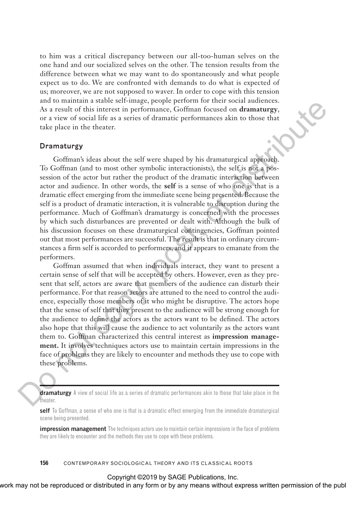to him was a critical discrepancy between our all-too-human selves on the one hand and our socialized selves on the other. The tension results from the difference between what we may want to do spontaneously and what people expect us to do. We are confronted with demands to do what is expected of us; moreover, we are not supposed to waver. In order to cope with this tension and to maintain a stable self-image, people perform for their social audiences. As a result of this interest in performance, Goffman focused on **dramaturgy**, or a view of social life as a series of dramatic performances akin to those that take place in the theater.

#### **Dramaturgy**

Goffman's ideas about the self were shaped by his dramaturgical approach. To Goffman (and to most other symbolic interactionists), the self is not a possession of the actor but rather the product of the dramatic interaction between actor and audience. In other words, the **self** is a sense of who one is that is a dramatic effect emerging from the immediate scene being presented. Because the self is a product of dramatic interaction, it is vulnerable to disruption during the performance. Much of Goffman's dramaturgy is concerned with the processes by which such disturbances are prevented or dealt with. Although the bulk of his discussion focuses on these dramaturgical contingencies, Goffman pointed out that most performances are successful. The result is that in ordinary circumstances a firm self is accorded to performers, and it appears to emanate from the performers. The representation of the representation of the representation of the representation of the representation of the state or distributed in any means with the state of the publisher. Determining the publisher in the Hermon

Goffman assumed that when individuals interact, they want to present a certain sense of self that will be accepted by others. However, even as they present that self, actors are aware that members of the audience can disturb their performance. For that reason actors are attuned to the need to control the audience, especially those members of it who might be disruptive. The actors hope that the sense of self that they present to the audience will be strong enough for the audience to define the actors as the actors want to be defined. The actors also hope that this will cause the audience to act voluntarily as the actors want them to. Goffman characterized this central interest as **impression management.** It involves techniques actors use to maintain certain impressions in the face of problems they are likely to encounter and methods they use to cope with these problems.

**impression management** The techniques actors use to maintain certain impressions in the face of problems they are likely to encounter and the methods they use to cope with these problems.

#### **156** CONTEMPORARY SOCIOLOGICAL THEORY AND ITS CLASSICAL ROOTS

dramaturgy A view of social life as a series of dramatic performances akin to those that take place in the theater.

self To Goffman, a sense of who one is that is a dramatic effect emerging from the immediate dramaturgical scene being presented.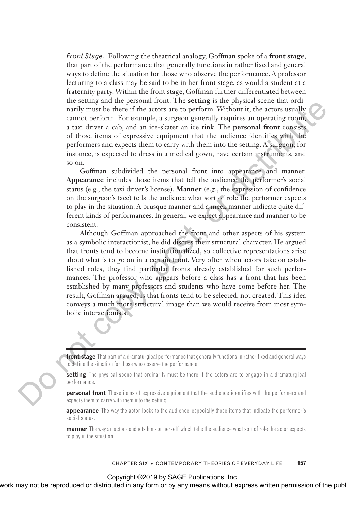*Front Stage.* Following the theatrical analogy, Goffman spoke of a **front stage**, that part of the performance that generally functions in rather fixed and general ways to define the situation for those who observe the performance. A professor lecturing to a class may be said to be in her front stage, as would a student at a fraternity party. Within the front stage, Goffman further differentiated between the setting and the personal front. The **setting** is the physical scene that ordinarily must be there if the actors are to perform. Without it, the actors usually cannot perform. For example, a surgeon generally requires an operating room, a taxi driver a cab, and an ice-skater an ice rink. The **personal front** consists of those items of expressive equipment that the audience identifies with the performers and expects them to carry with them into the setting. A surgeon, for instance, is expected to dress in a medical gown, have certain instruments, and so on.

Goffman subdivided the personal front into appearance and manner. **Appearance** includes those items that tell the audience the performer's social status (e.g., the taxi driver's license). **Manner** (e.g., the expression of confidence on the surgeon's face) tells the audience what sort of role the performer expects to play in the situation. A brusque manner and a meek manner indicate quite different kinds of performances. In general, we expect appearance and manner to be consistent.

Although Goffman approached the front and other aspects of his system as a symbolic interactionist, he did discuss their structural character. He argued that fronts tend to become institutionalized, so collective representations arise about what is to go on in a certain front. Very often when actors take on established roles, they find particular fronts already established for such performances. The professor who appears before a class has a front that has been established by many professors and students who have come before her. The result, Goffman argued, is that fronts tend to be selected, not created. This idea conveys a much more structural image than we would receive from most symbolic interactionists. The terms of the representation of the representation of the representation of the representation of the representation of the statistic statistic means we are the representation of the rest of the representation of the p

front stage That part of a dramaturgical performance that generally functions in rather fixed and general ways to define the situation for those who observe the performance.

setting The physical scene that ordinarily must be there if the actors are to engage in a dramaturgical performance.

**personal front** Those items of expressive equipment that the audience identifies with the performers and expects them to carry with them into the setting.

**appearance** The way the actor looks to the audience, especially those items that indicate the performer's social status.

**manner** The way an actor conducts him- or herself, which tells the audience what sort of role the actor expects to play in the situation.

chapter six • Contemporary Theories of Everyday Life **157**

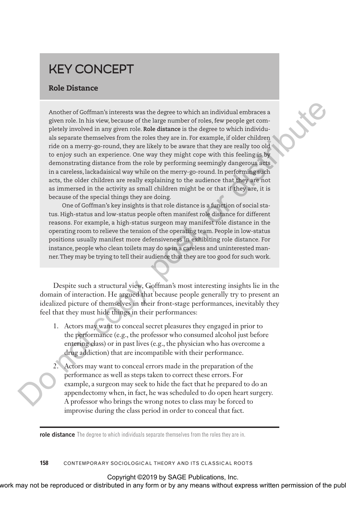# KEY CONCEPT

## Role Distance

Another of Goffman's interests was the degree to which an individual embraces a given role. In his view, because of the large number of roles, few people get completely involved in any given role. **Role distance** is the degree to which individuals separate themselves from the roles they are in. For example, if older children ride on a merry-go-round, they are likely to be aware that they are really too old to enjoy such an experience. One way they might cope with this feeling is by demonstrating distance from the role by performing seemingly dangerous acts in a careless, lackadaisical way while on the merry-go-round. In performing such acts, the older children are really explaining to the audience that they are not as immersed in the activity as small children might be or that if they are, it is because of the special things they are doing. Another of Codfman's interests was the degree to which an Individual embreces a<br>given relating this with the trace because of the large number of track, lower beyong the<br>sum and permission of the publisher and the publish

One of Goffman's key insights is that role distance is a function of social status. High-status and low-status people often manifest role distance for different reasons. For example, a high-status surgeon may manifest role distance in the operating room to relieve the tension of the operating team. People in low-status positions usually manifest more defensiveness in exhibiting role distance. For instance, people who clean toilets may do so in a careless and uninterested manner. They may be trying to tell their audience that they are too good for such work.

Despite such a structural view, Goffman's most interesting insights lie in the domain of interaction. He argued that because people generally try to present an idealized picture of themselves in their front-stage performances, inevitably they feel that they must hide things in their performances:

1. Actors may want to conceal secret pleasures they engaged in prior to the performance (e.g., the professor who consumed alcohol just before entering class) or in past lives (e.g., the physician who has overcome a drug addiction) that are incompatible with their performance.

2. Actors may want to conceal errors made in the preparation of the performance as well as steps taken to correct these errors. For example, a surgeon may seek to hide the fact that he prepared to do an appendectomy when, in fact, he was scheduled to do open heart surgery. A professor who brings the wrong notes to class may be forced to improvise during the class period in order to conceal that fact.

role distance The degree to which individuals separate themselves from the roles they are in.

#### **158** CONTEMPORARY SOCIOLOGICAL THEORY AND ITS CLASSICAL ROOTS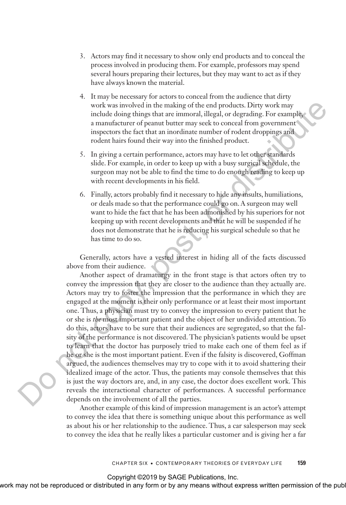- 3. Actors may find it necessary to show only end products and to conceal the process involved in producing them. For example, professors may spend several hours preparing their lectures, but they may want to act as if they have always known the material.
- 4. It may be necessary for actors to conceal from the audience that dirty work was involved in the making of the end products. Dirty work may include doing things that are immoral, illegal, or degrading. For example, a manufacturer of peanut butter may seek to conceal from government inspectors the fact that an inordinate number of rodent droppings and rodent hairs found their way into the finished product.
- 5. In giving a certain performance, actors may have to let other standards slide. For example, in order to keep up with a busy surgical schedule, the surgeon may not be able to find the time to do enough reading to keep up with recent developments in his field.
- 6. Finally, actors probably find it necessary to hide any insults, humiliations, or deals made so that the performance could go on. A surgeon may well want to hide the fact that he has been admonished by his superiors for not keeping up with recent developments and that he will be suspended if he does not demonstrate that he is reducing his surgical schedule so that he has time to do so.

Generally, actors have a vested interest in hiding all of the facts discussed above from their audience.

Another aspect of dramaturgy in the front stage is that actors often try to convey the impression that they are closer to the audience than they actually are. Actors may try to foster the impression that the performance in which they are engaged at the moment is their only performance or at least their most important one. Thus, a physician must try to convey the impression to every patient that he or she is *the* most important patient and the object of her undivided attention. To do this, actors have to be sure that their audiences are segregated, so that the falsity of the performance is not discovered. The physician's patients would be upset to learn that the doctor has purposely tried to make each one of them feel as if he or she is the most important patient. Even if the falsity is discovered, Goffman argued, the audiences themselves may try to cope with it to avoid shattering their idealized image of the actor. Thus, the patients may console themselves that this is just the way doctors are, and, in any case, the doctor does excellent work. This reveals the interactional character of performances. A successful performance depends on the involvement of all the parties. work was involved in the real produced or distributed in any means the reproduced or distributed in any form or by a small any means were the model of the publisher. This were investigated to concell from or by a mean sin

Another example of this kind of impression management is an actor's attempt to convey the idea that there is something unique about this performance as well as about his or her relationship to the audience. Thus, a car salesperson may seek to convey the idea that he really likes a particular customer and is giving her a far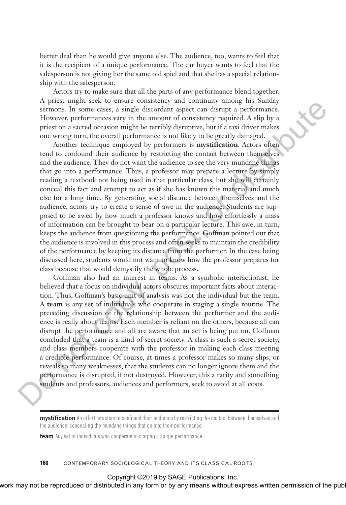better deal than he would give anyone else. The audience, too, wants to feel that it is the recipient of a unique performance. The car buyer wants to feel that the salesperson is not giving her the same old spiel and that she has a special relationship with the salesperson.

Actors try to make sure that all the parts of any performance blend together. A priest might seek to ensure consistency and continuity among his Sunday sermons. In some cases, a single discordant aspect can disrupt a performance. However, performances vary in the amount of consistency required. A slip by a priest on a sacred occasion might be terribly disruptive, but if a taxi driver makes one wrong turn, the overall performance is not likely to be greatly damaged.

Another technique employed by performers is **mystification**. Actors often tend to confound their audience by restricting the contact between themselves and the audience. They do not want the audience to see the very mundane things that go into a performance. Thus, a professor may prepare a lecture by simply reading a textbook not being used in that particular class, but she will certainly conceal this fact and attempt to act as if she has known this material and much else for a long time. By generating social distance between themselves and the audience, actors try to create a sense of awe in the audience. Students are supposed to be awed by how much a professor knows and how effortlessly a mass of information can be brought to bear on a particular lecture. This awe, in turn, keeps the audience from questioning the performance. Goffman pointed out that the audience is involved in this process and often seeks to maintain the credibility of the performance by keeping its distance from the performer. In the case being discussed here, students would not want to know how the professor prepares for class because that would demystify the whole process. The reproduced or the reproduced or the repression or the results of the results of the results of the results of the results of the results of the results of the results of the publisher or distributed in any field in an

Goffman also had an interest in teams. As a symbolic interactionist, he believed that a focus on individual actors obscures important facts about interaction. Thus, Goffman's basic unit of analysis was not the individual but the team. A **team** is any set of individuals who cooperate in staging a single routine. The preceding discussion of the relationship between the performer and the audience is really about teams. Each member is reliant on the others, because all can disrupt the performance and all are aware that an act is being put on. Goffman concluded that a team is a kind of secret society. A class is such a secret society, and class members cooperate with the professor in making each class meeting a credible performance. Of course, at times a professor makes so many slips, or reveals so many weaknesses, that the students can no longer ignore them and the performance is disrupted, if not destroyed. However, this a rarity and something students and professors, audiences and performers, seek to avoid at all costs.

team Any set of individuals who cooperate in staging a single performance.

#### **160** CONTEMPORARY SOCIOLOGICAL THEORY AND ITS CLASSICAL ROOTS

**mystification** An effort by actors to confound their audience by restricting the contact between themselves and the audience, concealing the mundane things that go into their performance.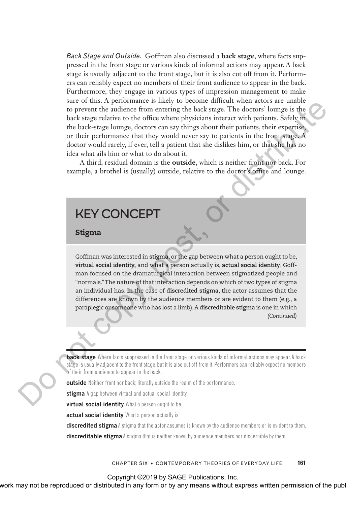*Back Stage and Outside.* Goffman also discussed a **back stage**, where facts suppressed in the front stage or various kinds of informal actions may appear. A back stage is usually adjacent to the front stage, but it is also cut off from it. Performers can reliably expect no members of their front audience to appear in the back. Furthermore, they engage in various types of impression management to make sure of this. A performance is likely to become difficult when actors are unable to prevent the audience from entering the back stage. The doctors' lounge is the back stage relative to the office where physicians interact with patients. Safely in the back-stage lounge, doctors can say things about their patients, their expertise, or their performance that they would never say to patients in the front stage. A doctor would rarely, if ever, tell a patient that she dislikes him, or that she has no idea what ails him or what to do about it.

A third, residual domain is the **outside**, which is neither front nor back. For example, a brothel is (usually) outside, relative to the doctor's office and lounge.

# KEY CONCEPT

### Stigma

Goffman was interested in **stigma**, or the gap between what a person ought to be, **virtual social identity,** and what a person actually is, **actual social identity**. Goffman focused on the dramaturgical interaction between stigmatized people and "normals." The nature of that interaction depends on which of two types of stigma an individual has. In the case of **discredited stigma**, the actor assumes that the differences are known by the audience members or are evident to them (e.g., a paraplegic or someone who has lost a limb). A **discreditable stigma** is one in which *(Continued)* The results work may not be reproduced or distributed in any form or by any means with the reproduced or distributed in any form or by any means with the publisher. The reproduced in any form or by any means with the publ



outside Neither front nor back; literally outside the realm of the performance.

stigma A gap between virtual and actual social identity.

**virtual social identity** What a person ought to be.

actual social identity What a person actually is.

discredited stigma A stigma that the actor assumes is known by the audience members or is evident to them.

discreditable stigma A stigma that is neither known by audience members nor discernible by them.

chapter six • Contemporary Theories of Everyday Life **161**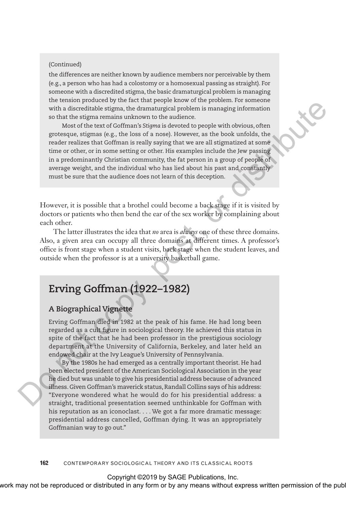#### (Continued)

the differences are neither known by audience members nor perceivable by them (e.g., a person who has had a colostomy or a homosexual passing as straight). For someone with a discredited stigma, the basic dramaturgical problem is managing the tension produced by the fact that people know of the problem. For someone with a discreditable stigma, the dramaturgical problem is managing information so that the stigma remains unknown to the audience.

Most of the text of Goffman's *Stigma* is devoted to people with obvious, often grotesque, stigmas (e.g., the loss of a nose). However, as the book unfolds, the reader realizes that Goffman is really saying that we are all stigmatized at some time or other, or in some setting or other. His examples include the Jew passing in a predominantly Christian community, the fat person in a group of people of average weight, and the individual who has lied about his past and constantly must be sure that the audience does not learn of this deception.

However, it is possible that a brothel could become a back stage if it is visited by doctors or patients who then bend the ear of the sex worker by complaining about each other.

The latter illustrates the idea that *no* area is *always* one of these three domains. Also, a given area can occupy all three domains at different times. A professor's office is front stage when a student visits, back stage when the student leaves, and outside when the professor is at a university basketball game.

# **Erving Goffman (1922–1982)**

## **A Biographical Vignette**

Erving Goffman died in 1982 at the peak of his fame. He had long been regarded as a cult figure in sociological theory. He achieved this status in spite of the fact that he had been professor in the prestigious sociology department at the University of California, Berkeley, and later held an endowed chair at the Ivy League's University of Pennsylvania.

By the 1980s he had emerged as a centrally important theorist. He had been elected president of the American Sociological Association in the year he died but was unable to give his presidential address because of advanced illness. Given Goffman's maverick status, Randall Collins says of his address: "Everyone wondered what he would do for his presidential address: a straight, traditional presentation seemed unthinkable for Goffman with his reputation as an iconoclast. . . . We got a far more dramatic message: presidential address cancelled, Goffman dying. It was an appropriately Goffmanian way to go out." The terroristics) or the distribution of the reproduced or distributed in any form or by any means with the rest of columns of the publishers were also the publishers. Also, the spectration of the publishers were also the

#### **162** CONTEMPORARY SOCIOLOGICAL THEORY AND ITS CLASSICAL ROOTS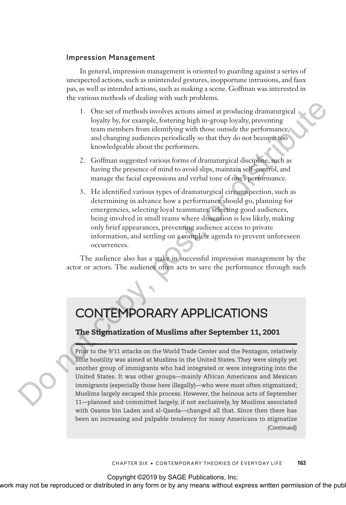### **Impression Management**

In general, impression management is oriented to guarding against a series of unexpected actions, such as unintended gestures, inopportune intrusions, and faux pas, as well as intended actions, such as making a scene. Goffman was interested in the various methods of dealing with such problems.

- 1. One set of methods involves actions aimed at producing dramaturgical loyalty by, for example, fostering high in-group loyalty, preventing team members from identifying with those outside the performance, and changing audiences periodically so that they do not become too knowledgeable about the performers.
- 2. Goffman suggested various forms of dramaturgical discipline, such as having the presence of mind to avoid slips, maintain self-control, and manage the facial expressions and verbal tone of one's performance.
- 3. He identified various types of dramaturgical circumspection, such as determining in advance how a performance should go, planning for emergencies, selecting loyal teammates, selecting good audiences, being involved in small teams where dissension is less likely, making only brief appearances, preventing audience access to private information, and settling on a complete agenda to prevent unforeseen occurrences.

The audience also has a stake in successful impression management by the actor or actors. The audience often acts to save the performance through such

# CONTEMPORARY APPLICATIONS

# The Stigmatization of Muslims after September 11, 2001

Prior to the 9/11 attacks on the World Trade Center and the Pentagon, relatively little hostility was aimed at Muslims in the United States. They were simply yet another group of immigrants who had integrated or were integrating into the United States. It was other groups—mainly African Americans and Mexican immigrants (especially those here illegally)—who were most often stigmatized; Muslims largely escaped this process. However, the heinous acts of September 11—planned and committed largely, if not exclusively, by Muslims associated with Osama bin Laden and al-Qaeda—changed all that. Since then there has been an increasing and palpable tendency for many Americans to stigmatize *(Continued)* 1. One set of mechadis involves actions aimed a proching dramaturgical<br>
incuting the reproduced or distributed in a proprior that the performance<br>
including the proprior of the complete or the publisher or produced in the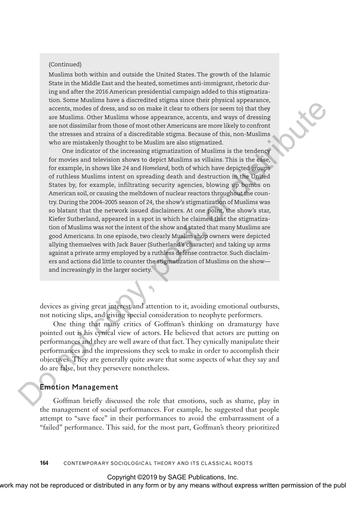#### (Continued)

Muslims both within and outside the United States. The growth of the Islamic State in the Middle East and the heated, sometimes anti-immigrant, rhetoric during and after the 2016 American presidential campaign added to this stigmatization. Some Muslims have a discredited stigma since their physical appearance, accents, modes of dress, and so on make it clear to others (or seem to) that they are Muslims. Other Muslims whose appearance, accents, and ways of dressing are not dissimilar from those of most other Americans are more likely to confront the stresses and strains of a discreditable stigma. Because of this, non-Muslims who are mistakenly thought to be Muslim are also stigmatized.

One indicator of the increasing stigmatization of Muslims is the tendency for movies and television shows to depict Muslims as villains. This is the case, for example, in shows like *24* and *Homeland,* both of which have depicted groups of ruthless Muslims intent on spreading death and destruction in the United States by, for example, infiltrating security agencies, blowing up bombs on American soil, or causing the meltdown of nuclear reactors throughout the country. During the 2004–2005 season of *24,* the show's stigmatization of Muslims was so blatant that the network issued disclaimers. At one point, the show's star, Kiefer Sutherland, appeared in a spot in which he claimed that the stigmatization of Muslims was *not* the intent of the show and stated that many Muslims are good Americans. In one episode, two clearly Muslim shop owners were depicted allying themselves with Jack Bauer (Sutherland's character) and taking up arms against a private army employed by a ruthless defense contractor. Such disclaimers and actions did little to counter the stigmatization of Muslims on the show and increasingly in the larger society. mere the reproduced or distributed in any means with the results are represented in any form or but a publisher or the representation of the publisher or the publisher or but any means were also the publisher or the strib

devices as giving great interest and attention to it, avoiding emotional outbursts, not noticing slips, and giving special consideration to neophyte performers.

One thing that many critics of Goffman's thinking on dramaturgy have pointed out is his cynical view of actors. He believed that actors are putting on performances and they are well aware of that fact. They cynically manipulate their performances and the impressions they seek to make in order to accomplish their objectives. They are generally quite aware that some aspects of what they say and do are false, but they persevere nonetheless.

#### **Emotion Management**

Goffman briefly discussed the role that emotions, such as shame, play in the management of social performances. For example, he suggested that people attempt to "save face" in their performances to avoid the embarrassment of a "failed" performance. This said, for the most part, Goffman's theory prioritized

#### **164** CONTEMPORARY SOCIOLOGICAL THEORY AND ITS CLASSICAL ROOTS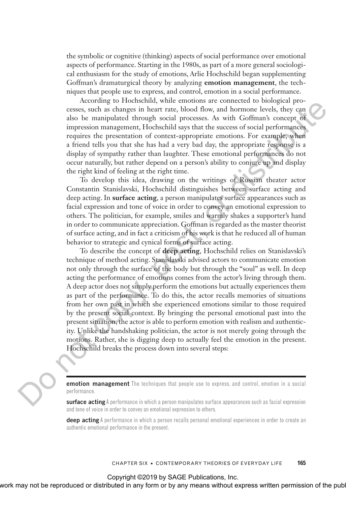the symbolic or cognitive (thinking) aspects of social performance over emotional aspects of performance. Starting in the 1980s, as part of a more general sociological enthusiasm for the study of emotions, Arlie Hochschild began supplementing Goffman's dramaturgical theory by analyzing **emotion management**, the techniques that people use to express, and control, emotion in a social performance.

According to Hochschild, while emotions are connected to biological processes, such as changes in heart rate, blood flow, and hormone levels, they can also be manipulated through social processes. As with Goffman's concept of impression management, Hochschild says that the success of social performances requires the presentation of context-appropriate emotions. For example, when a friend tells you that she has had a very bad day, the appropriate response is a display of sympathy rather than laughter. These emotional performances do not occur naturally, but rather depend on a person's ability to conjure up and display the right kind of feeling at the right time.

To develop this idea, drawing on the writings of Russian theater actor Constantin Stanislavski, Hochschild distinguishes between surface acting and deep acting. In **surface acting**, a person manipulates surface appearances such as facial expression and tone of voice in order to convey an emotional expression to others. The politician, for example, smiles and warmly shakes a supporter's hand in order to communicate appreciation. Goffman is regarded as the master theorist of surface acting, and in fact a criticism of his work is that he reduced all of human behavior to strategic and cynical forms of surface acting.

To describe the concept of **deep acting**, Hochschild relies on Stanislavski's technique of method acting. Stanislavski advised actors to communicate emotion not only through the surface of the body but through the "soul" as well. In deep acting the performance of emotions comes from the actor's living through them. A deep actor does not simply perform the emotions but actually experiences them as part of the performance. To do this, the actor recalls memories of situations from her own past in which she experienced emotions similar to those required by the present social context. By bringing the personal emotional past into the present situation, the actor is able to perform emotion with realism and authenticity. Unlike the handshaking politician, the actor is not merely going through the motions. Rather, she is digging deep to actually feel the emotion in the present. Hochschild breaks the process down into several steps: EXERCT THIS WAS A THIS WAS ARRESTED IN A REFORMATION THE SURFACT PERSONAL THEORETIC DESCRIPTION OR THE UNIT CONSULTED THE UNIT CONSULTED THE SURFACT THEOREM IN A REFORMATION OF THE UNIT CONSULTED THEOREM IS A distributed



**emotion management** The techniques that people use to express, and control, emotion in a social performance.

deep acting A performance in which a person recalls personal emotional experiences in order to create an authentic emotional performance in the present.

chapter six • Contemporary Theories of Everyday Life **165**

surface acting A performance in which a person manipulates surface appearances such as facial expression and tone of voice in order to convey an emotional expression to others.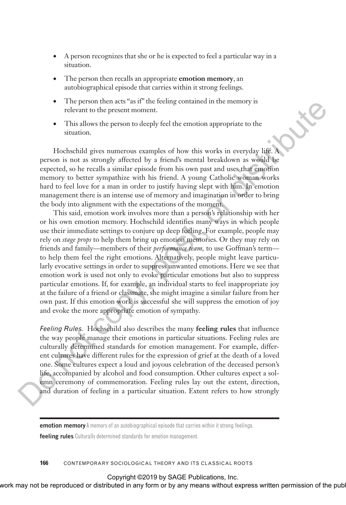- A person recognizes that she or he is expected to feel a particular way in a situation.
- The person then recalls an appropriate **emotion memory**, an autobiographical episode that carries within it strong feelings.
- The person then acts "as if" the feeling contained in the memory is relevant to the present moment.
- This allows the person to deeply feel the emotion appropriate to the situation.

Hochschild gives numerous examples of how this works in everyday life. A person is not as strongly affected by a friend's mental breakdown as would be expected, so he recalls a similar episode from his own past and uses that emotion memory to better sympathize with his friend. A young Catholic woman works hard to feel love for a man in order to justify having slept with him. In emotion management there is an intense use of memory and imagination in order to bring the body into alignment with the expectations of the moment.

This said, emotion work involves more than a person's relationship with her or his own emotion memory. Hochschild identifies many ways in which people use their immediate settings to conjure up deep feeling. For example, people may rely on *stage props* to help them bring up emotion memories. Or they may rely on friends and family—members of their *performance team,* to use Goffman's term to help them feel the right emotions. Alternatively, people might leave particularly evocative settings in order to suppress unwanted emotions. Here we see that emotion work is used not only to evoke particular emotions but also to suppress particular emotions. If, for example, an individual starts to feel inappropriate joy at the failure of a friend or classmate, she might imagine a similar failure from her own past. If this emotion work is successful she will suppress the emotion of joy and evoke the more appropriate emotion of sympathy. The person means were represented or distributed in any form or by any means with the reproduced or distributed in any form or by any means without express with the publisher. This will work in a sweep of the publisher of

*Feeling Rules.* Hochschild also describes the many **feeling rules** that influence the way people manage their emotions in particular situations. Feeling rules are culturally determined standards for emotion management. For example, different cultures have different rules for the expression of grief at the death of a loved one. Some cultures expect a loud and joyous celebration of the deceased person's life, accompanied by alcohol and food consumption. Other cultures expect a solemn ceremony of commemoration. Feeling rules lay out the extent, direction, and duration of feeling in a particular situation. Extent refers to how strongly

**emotion memory** A memory of an autobiographical episode that carries within it strong feelings.

feeling rules Culturally determined standards for emotion management.

#### **166** CONTEMPORARY SOCIOLOGICAL THEORY AND ITS CLASSICAL ROOTS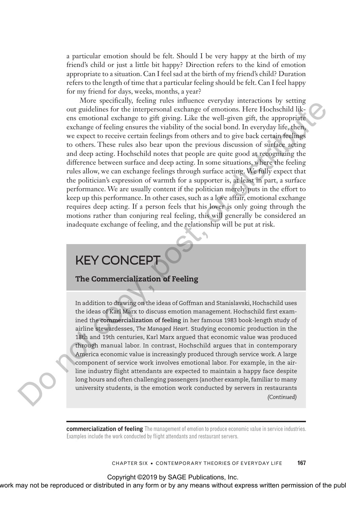a particular emotion should be felt. Should I be very happy at the birth of my friend's child or just a little bit happy? Direction refers to the kind of emotion appropriate to a situation. Can I feel sad at the birth of my friend's child? Duration refers to the length of time that a particular feeling should be felt. Can I feel happy for my friend for days, weeks, months, a year?

More specifically, feeling rules influence everyday interactions by setting out guidelines for the interpersonal exchange of emotions. Here Hochschild likens emotional exchange to gift giving. Like the well-given gift, the appropriate exchange of feeling ensures the viability of the social bond. In everyday life, then, we expect to receive certain feelings from others and to give back certain feelings to others. These rules also bear upon the previous discussion of surface acting and deep acting. Hochschild notes that people are quite good at recognizing the difference between surface and deep acting. In some situations, where the feeling rules allow, we can exchange feelings through surface acting. We fully expect that the politician's expression of warmth for a supporter is, at least in part, a surface performance. We are usually content if the politician merely puts in the effort to keep up this performance. In other cases, such as a love affair, emotional exchange requires deep acting. If a person feels that his lover is only going through the motions rather than conjuring real feeling, this will generally be considered an inadequate exchange of feeling, and the relationship will be put at risk. The communication of the repression or the repression of the reproduced in any form or by any means with permission of the publisher and the publisher of the publisher was not been permission of the publisher. This can be

# KEY CONCEPT

## The Commercialization of Feeling

In addition to drawing on the ideas of Goffman and Stanislavski, Hochschild uses the ideas of Karl Marx to discuss emotion management. Hochschild first examined the **commercialization of feeling** in her famous 1983 book-length study of airline stewardesses, *The Managed Heart.* Studying economic production in the 18th and 19th centuries, Karl Marx argued that economic value was produced through manual labor. In contrast, Hochschild argues that in contemporary America economic value is increasingly produced through service work. A large component of service work involves emotional labor. For example, in the airline industry flight attendants are expected to maintain a happy face despite long hours and often challenging passengers (another example, familiar to many university students, is the emotion work conducted by servers in restaurants *(Continued)*

commercialization of feeling The management of emotion to produce economic value in service industries. Examples include the work conducted by flight attendants and restaurant servers.

chapter six • Contemporary Theories of Everyday Life **167**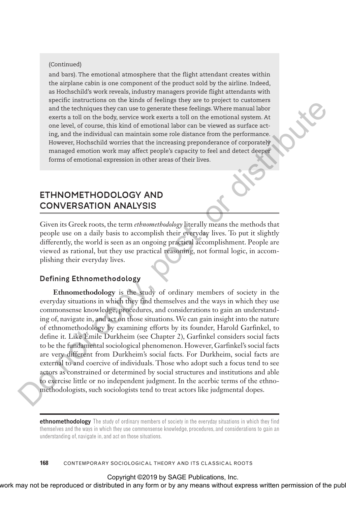#### (Continued)

and bars). The emotional atmosphere that the flight attendant creates within the airplane cabin is one component of the product sold by the airline. Indeed, as Hochschild's work reveals, industry managers provide flight attendants with specific instructions on the kinds of feelings they are to project to customers and the techniques they can use to generate these feelings. Where manual labor exerts a toll on the body, service work exerts a toll on the emotional system. At one level, of course, this kind of emotional labor can be viewed as surface acting, and the individual can maintain some role distance from the performance. However, Hochschild worries that the increasing preponderance of corporately managed emotion work may affect people's capacity to feel and detect deeper forms of emotional expression in other areas of their lives.

# **ETHNOMETHODOLOGY AND CONVERSATION ANALYSIS**

Given its Greek roots, the term *ethnomethodology* literally means the methods that people use on a daily basis to accomplish their everyday lives. To put it slightly differently, the world is seen as an ongoing practical accomplishment. People are viewed as rational, but they use practical reasoning, not formal logic, in accomplishing their everyday lives.

## **Defining Ethnomethodology**

**Ethnomethodology** is the study of ordinary members of society in the everyday situations in which they find themselves and the ways in which they use commonsense knowledge, procedures, and considerations to gain an understanding of, navigate in, and act on those situations. We can gain insight into the nature of ethnomethodology by examining efforts by its founder, Harold Garfinkel, to define it. Like Émile Durkheim (see Chapter 2), Garfinkel considers social facts to be the fundamental sociological phenomenon. However, Garfinkel's social facts are very different from Durkheim's social facts. For Durkheim, social facts are external to and coercive of individuals. Those who adopt such a focus tend to see actors as constrained or determined by social structures and institutions and able to exercise little or no independent judgment. In the acerbic terms of the ethnomethodologists, such sociologists tend to treat actors like judgmental dopes. The model of the reproduced or distributed in any form or between the representation of the reproduced or distributed in any form or by any means with the publisher. This with the state of the publisher and the publisher

ethnomethodology The study of ordinary members of society in the everyday situations in which they find themselves and the ways in which they use commonsense knowledge, procedures, and considerations to gain an understanding of, navigate in, and act on those situations.

**168** CONTEMPORARY SOCIOLOGICAL THEORY AND ITS CLASSICAL ROOTS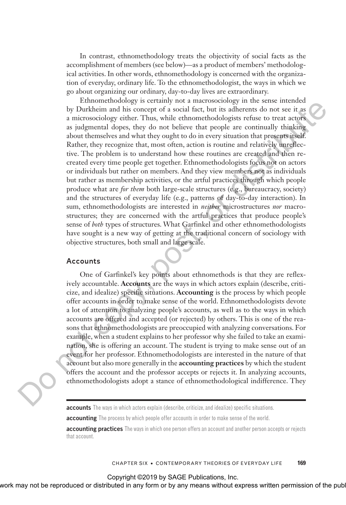In contrast, ethnomethodology treats the objectivity of social facts as the accomplishment of members (see below)—as a product of members' methodological activities. In other words, ethnomethodology is concerned with the organization of everyday, ordinary life. To the ethnomethodologist, the ways in which we go about organizing our ordinary, day-to-day lives are extraordinary.

Ethnomethodology is certainly not a macrosociology in the sense intended by Durkheim and his concept of a social fact, but its adherents do not see it as a microsociology either. Thus, while ethnomethodologists refuse to treat actors as judgmental dopes, they do not believe that people are continually thinking about themselves and what they ought to do in every situation that presents itself. Rather, they recognize that, most often, action is routine and relatively unreflective. The problem is to understand how these routines are created and then recreated every time people get together. Ethnomethodologists focus not on actors or individuals but rather on members. And they view members not as individuals but rather as membership activities, or the artful practices through which people produce what are *for them* both large-scale structures (e.g., bureaucracy, society) and the structures of everyday life (e.g., patterns of day-to-day interaction). In sum, ethnomethodologists are interested in *neither* microstructures *nor* macrostructures; they are concerned with the artful practices that produce people's sense of *both* types of structures. What Garfinkel and other ethnomethodologists have sought is a new way of getting at the traditional concern of sociology with objective structures, both small and large scale. In The matrix may not be reproduced or the results were represented in any form or be reproduced in any form or be reproduced in any form or by any means with the publisher and the sixten in a publisher and the publisher.

#### **Accounts**

One of Garfinkel's key points about ethnomethods is that they are reflexively accountable. **Accounts** are the ways in which actors explain (describe, criticize, and idealize) specific situations. **Accounting** is the process by which people offer accounts in order to make sense of the world. Ethnomethodologists devote a lot of attention to analyzing people's accounts, as well as to the ways in which accounts are offered and accepted (or rejected) by others. This is one of the reasons that ethnomethodologists are preoccupied with analyzing conversations. For example, when a student explains to her professor why she failed to take an examination, she is offering an account. The student is trying to make sense out of an event for her professor. Ethnomethodologists are interested in the nature of that account but also more generally in the **accounting practices** by which the student offers the account and the professor accepts or rejects it. In analyzing accounts, ethnomethodologists adopt a stance of ethnomethodological indifference. They



accounts The ways in which actors explain (describe, criticize, and idealize) specific situations.

accounting The process by which people offer accounts in order to make sense of the world.

**accounting practices** The ways in which one person offers an account and another person accepts or rejects that account.

chapter six • Contemporary Theories of Everyday Life **169**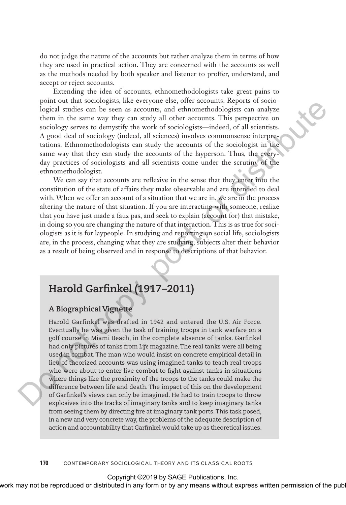do not judge the nature of the accounts but rather analyze them in terms of how they are used in practical action. They are concerned with the accounts as well as the methods needed by both speaker and listener to proffer, understand, and accept or reject accounts.

Extending the idea of accounts, ethnomethodologists take great pains to point out that sociologists, like everyone else, offer accounts. Reports of sociological studies can be seen as accounts, and ethnomethodologists can analyze them in the same way they can study all other accounts. This perspective on sociology serves to demystify the work of sociologists—indeed, of all scientists. A good deal of sociology (indeed, all sciences) involves commonsense interpretations. Ethnomethodologists can study the accounts of the sociologist in the same way that they can study the accounts of the layperson. Thus, the everyday practices of sociologists and all scientists come under the scrutiny of the ethnomethodologist.

We can say that accounts are reflexive in the sense that they enter into the constitution of the state of affairs they make observable and are intended to deal with. When we offer an account of a situation that we are in, we are in the process altering the nature of that situation. If you are interacting with someone, realize that you have just made a faux pas, and seek to explain (account for) that mistake, in doing so you are changing the nature of that interaction. This is as true for sociologists as it is for laypeople. In studying and reporting on social life, sociologists are, in the process, changing what they are studying; subjects alter their behavior as a result of being observed and in response to descriptions of that behavior.

# **Harold Garfinkel (1917–2011)**

## **A Biographical Vignette**

Harold Garfinkel was drafted in 1942 and entered the U.S. Air Force. Eventually he was given the task of training troops in tank warfare on a golf course in Miami Beach, in the complete absence of tanks. Garfinkel had only pictures of tanks from *Life* magazine. The real tanks were all being used in combat. The man who would insist on concrete empirical detail in lieu of theorized accounts was using imagined tanks to teach real troops who were about to enter live combat to fight against tanks in situations where things like the proximity of the troops to the tanks could make the difference between life and death. The impact of this on the development of Garfinkel's views can only be imagined. He had to train troops to throw explosives into the tracks of imaginary tanks and to keep imaginary tanks from seeing them by directing fire at imaginary tank ports. This task posed, in a new and very concrete way, the problems of the adequate description of action and accountability that Garfinkel would take up as theoretical issues. From the repressentation of the repressentation or distributed in any form or by any means with the representation of the means with the publisher or distributed in a single state of the publisher. Thus, the express witho

**170** CONTEMPORARY SOCIOLOGICAL THEORY AND ITS CLASSICAL ROOTS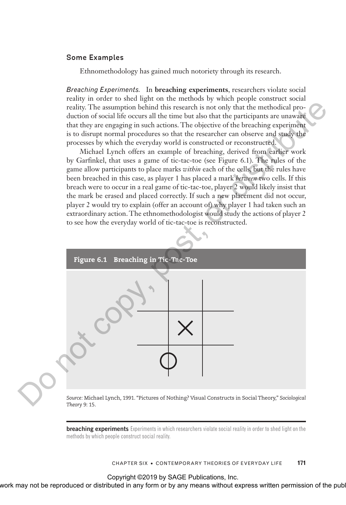#### **Some Examples**

Ethnomethodology has gained much notoriety through its research.

*Breaching Experiments.* In **breaching experiments**, researchers violate social reality in order to shed light on the methods by which people construct social reality. The assumption behind this research is not only that the methodical production of social life occurs all the time but also that the participants are unaware that they are engaging in such actions. The objective of the breaching experiment is to disrupt normal procedures so that the researcher can observe and study the processes by which the everyday world is constructed or reconstructed.

Michael Lynch offers an example of breaching, derived from earlier work by Garfinkel, that uses a game of tic-tac-toe (see Figure 6.1). The rules of the game allow participants to place marks *within* each of the cells, but the rules have been breached in this case, as player 1 has placed a mark *between* two cells. If this breach were to occur in a real game of tic-tac-toe, player 2 would likely insist that the mark be erased and placed correctly. If such a new placement did not occur, player 2 would try to explain (offer an account of) why player 1 had taken such an extraordinary action. The ethnomethodologist would study the actions of player 2 to see how the everyday world of tic-tac-toe is reconstructed.



*Source:* Michael Lynch, 1991. "Pictures of Nothing? Visual Constructs in Social Theory," *Sociological Theory* 9: 15.

**breaching experiments** Experiments in which researchers violate social reality in order to shed light on the methods by which people construct social reality.

chapter six • Contemporary Theories of Everyday Life **171**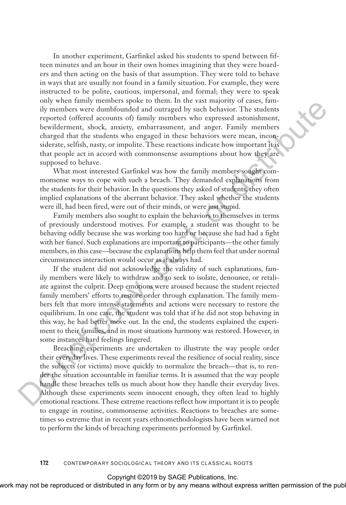In another experiment, Garfinkel asked his students to spend between fifteen minutes and an hour in their own homes imagining that they were boarders and then acting on the basis of that assumption. They were told to behave in ways that are usually not found in a family situation. For example, they were instructed to be polite, cautious, impersonal, and formal; they were to speak only when family members spoke to them. In the vast majority of cases, family members were dumbfounded and outraged by such behavior. The students reported (offered accounts of) family members who expressed astonishment, bewilderment, shock, anxiety, embarrassment, and anger. Family members charged that the students who engaged in these behaviors were mean, inconsiderate, selfish, nasty, or impolite. These reactions indicate how important it is that people act in accord with commonsense assumptions about how they are supposed to behave.

What most interested Garfinkel was how the family members sought commonsense ways to cope with such a breach. They demanded explanations from the students for their behavior. In the questions they asked of students, they often implied explanations of the aberrant behavior. They asked whether the students were ill, had been fired, were out of their minds, or were just stupid.

Family members also sought to explain the behaviors to themselves in terms of previously understood motives. For example, a student was thought to be behaving oddly because she was working too hard or because she had had a fight with her fiancé. Such explanations are important to participants—the other family members, in this case—because the explanations help them feel that under normal circumstances interaction would occur as it always had.

If the student did not acknowledge the validity of such explanations, family members were likely to withdraw and to seek to isolate, denounce, or retaliate against the culprit. Deep emotions were aroused because the student rejected family members' efforts to restore order through explanation. The family members felt that more intense statements and actions were necessary to restore the equilibrium. In one case, the student was told that if he did not stop behaving in this way, he had better move out. In the end, the students explained the experiment to their families, and in most situations harmony was restored. However, in some instances hard feelings lingered.

Breaching experiments are undertaken to illustrate the way people order their everyday lives. These experiments reveal the resilience of social reality, since the subjects (or victims) move quickly to normalize the breach—that is, to render the situation accountable in familiar terms. It is assumed that the way people handle these breaches tells us much about how they handle their everyday lives. Although these experiments seem innocent enough, they often lead to highly emotional reactions. These extreme reactions reflect how important it is to people to engage in routine, commonsense activities. Reactions to breaches are sometimes so extreme that in recent years ethnomethodologists have been warned not to perform the kinds of breaching experiments performed by Garfinkel. This work may not the rest of the reproduced or the reproduced in any form or between the reproduced or distributed in any form or by any form or the publisher. Since a since the publisher and the publisher and the publish

#### **172** CONTEMPORARY SOCIOLOGICAL THEORY AND ITS CLASSICAL ROOTS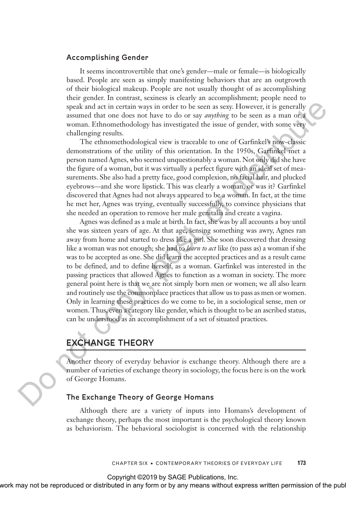#### **Accomplishing Gender**

It seems incontrovertible that one's gender—male or female—is biologically based. People are seen as simply manifesting behaviors that are an outgrowth of their biological makeup. People are not usually thought of as accomplishing their gender. In contrast, sexiness is clearly an accomplishment; people need to speak and act in certain ways in order to be seen as sexy. However, it is generally assumed that one does not have to do or say *anything* to be seen as a man or a woman. Ethnomethodology has investigated the issue of gender, with some very challenging results.

The ethnomethodological view is traceable to one of Garfinkel's now-classic demonstrations of the utility of this orientation. In the 1950s, Garfinkel met a person named Agnes, who seemed unquestionably a woman. Not only did she have the figure of a woman, but it was virtually a perfect figure with an ideal set of measurements. She also had a pretty face, good complexion, no facial hair, and plucked eyebrows—and she wore lipstick. This was clearly a woman, or was it? Garfinkel discovered that Agnes had not always appeared to be a woman. In fact, at the time he met her, Agnes was trying, eventually successfully, to convince physicians that she needed an operation to remove her male genitalia and create a vagina.

Agnes was defined as a male at birth. In fact, she was by all accounts a boy until she was sixteen years of age. At that age, sensing something was awry, Agnes ran away from home and started to dress like a girl. She soon discovered that dressing like a woman was not enough; she had to *learn to act* like (to pass as) a woman if she was to be accepted as one. She did learn the accepted practices and as a result came to be defined, and to define herself, as a woman. Garfinkel was interested in the passing practices that allowed Agnes to function as a woman in society. The more general point here is that we are not simply born men or women; we all also learn and routinely use the commonplace practices that allow us to pass as men or women. Only in learning these practices do we come to be, in a sociological sense, men or women. Thus, even a category like gender, which is thought to be an ascribed status, can be understood as an accomplishment of a set of situated practices. speak and action or by in order to be reproduced or distributed in any form or behavior in the publisher and any means were represented to the publisher of the sum of the publisher of the publisher of the publisher of the

# **EXCHANGE THEORY**

Another theory of everyday behavior is exchange theory. Although there are a number of varieties of exchange theory in sociology, the focus here is on the work of George Homans.

### **The Exchange Theory of George Homans**

Although there are a variety of inputs into Homans's development of exchange theory, perhaps the most important is the psychological theory known as behaviorism. The behavioral sociologist is concerned with the relationship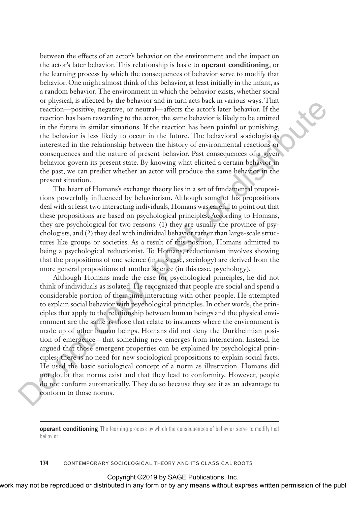between the effects of an actor's behavior on the environment and the impact on the actor's later behavior. This relationship is basic to **operant conditioning**, or the learning process by which the consequences of behavior serve to modify that behavior. One might almost think of this behavior, at least initially in the infant, as a random behavior. The environment in which the behavior exists, whether social or physical, is affected by the behavior and in turn acts back in various ways. That reaction—positive, negative, or neutral—affects the actor's later behavior. If the reaction has been rewarding to the actor, the same behavior is likely to be emitted in the future in similar situations. If the reaction has been painful or punishing, the behavior is less likely to occur in the future. The behavioral sociologist is interested in the relationship between the history of environmental reactions or consequences and the nature of present behavior. Past consequences of a given behavior govern its present state. By knowing what elicited a certain behavior in the past, we can predict whether an actor will produce the same behavior in the present situation.

The heart of Homans's exchange theory lies in a set of fundamental propositions powerfully influenced by behaviorism. Although some of his propositions deal with at least two interacting individuals, Homans was careful to point out that these propositions are based on psychological principles. According to Homans, they are psychological for two reasons: (1) they are usually the province of psychologists, and (2) they deal with individual behavior rather than large-scale structures like groups or societies. As a result of this position, Homans admitted to being a psychological reductionist. To Homans, reductionism involves showing that the propositions of one science (in this case, sociology) are derived from the more general propositions of another science (in this case, psychology).

Although Homans made the case for psychological principles, he did not think of individuals as isolated. He recognized that people are social and spend a considerable portion of their time interacting with other people. He attempted to explain social behavior with psychological principles. In other words, the principles that apply to the relationship between human beings and the physical environment are the same as those that relate to instances where the environment is made up of other human beings. Homans did not deny the Durkheimian position of emergence—that something new emerges from interaction. Instead, he argued that those emergent properties can be explained by psychological principles; there is no need for new sociological propositions to explain social facts. He used the basic sociological concept of a norm as illustration. Homans did not doubt that norms exist and that they lead to conformity. However, people do not conform automatically. They do so because they see it as an advantage to conform to those norms. The most may not be reproduced or the repression of the reproduced in any form or by any means with the reproduced in the function of the publisher is a state of the publisher. The behaviors is likely to be contributed in

**operant conditioning** The learning process by which the consequences of behavior serve to modify that behavior.

#### **174** CONTEMPORARY SOCIOLOGICAL THEORY AND ITS CLASSICAL ROOTS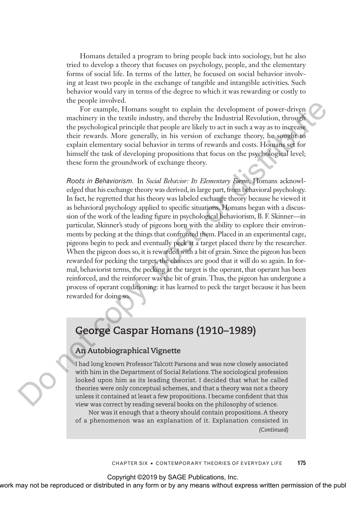Homans detailed a program to bring people back into sociology, but he also tried to develop a theory that focuses on psychology, people, and the elementary forms of social life. In terms of the latter, he focused on social behavior involving at least two people in the exchange of tangible and intangible activities. Such behavior would vary in terms of the degree to which it was rewarding or costly to the people involved.

For example, Homans sought to explain the development of power-driven machinery in the textile industry, and thereby the Industrial Revolution, through the psychological principle that people are likely to act in such a way as to increase their rewards. More generally, in his version of exchange theory, he sought to explain elementary social behavior in terms of rewards and costs. Homans set for himself the task of developing propositions that focus on the psychological level; these form the groundwork of exchange theory.

*Roots in Behaviorism.* In *Social Behavior: Its Elementary Forms*, Homans acknowledged that his exchange theory was derived, in large part, from behavioral psychology. In fact, he regretted that his theory was labeled exchange theory because he viewed it as behavioral psychology applied to specific situations. Homans began with a discussion of the work of the leading figure in psychological behaviorism, B. F. Skinner—in particular, Skinner's study of pigeons born with the ability to explore their environments by pecking at the things that confronted them. Placed in an experimental cage, pigeons begin to peck and eventually peck at a target placed there by the researcher. When the pigeon does so, it is rewarded with a bit of grain. Since the pigeon has been rewarded for pecking the target, the chances are good that it will do so again. In formal, behaviorist terms, the pecking at the target is the operant, that operant has been reinforced, and the reinforcer was the bit of grain. Thus, the pigeon has undergone a process of operant conditioning: it has learned to peck the target because it has been rewarded for doing so. The representation of the rest is the rest of the distribution or the publisher and the rest is the publisher or the publisher is the publisher of the publisher is the publisher. This were the publishered in any means wer

# **George Caspar Homans (1910–1989)**

# **An Autobiographical Vignette**

I had long known Professor Talcott Parsons and was now closely associated with him in the Department of Social Relations. The sociological profession looked upon him as its leading theorist. I decided that what he called theories were only conceptual schemes, and that a theory was not a theory unless it contained at least a few propositions. I became confident that this view was correct by reading several books on the philosophy of science.

Nor was it enough that a theory should contain propositions. A theory of a phenomenon was an explanation of it. Explanation consisted in *(Continued)*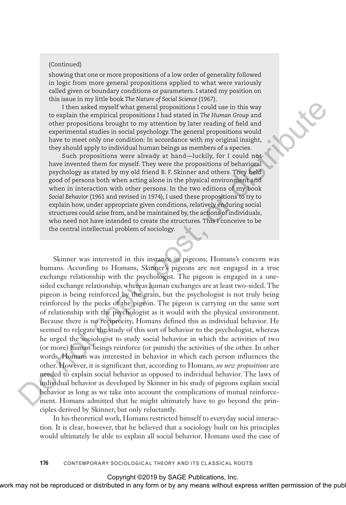#### (Continued)

showing that one or more propositions of a low order of generality followed in logic from more general propositions applied to what were variously called given or boundary conditions or parameters. I stated my position on this issue in my little book *The Nature of Social Science* (1967).

I then asked myself what general propositions I could use in this way to explain the empirical propositions I had stated in *The Human Group* and other propositions brought to my attention by later reading of field and experimental studies in social psychology. The general propositions would have to meet only one condition: In accordance with my original insight, they should apply to individual human beings as members of a species.

Such propositions were already at hand—luckily, for I could not have invented them for myself. They were the propositions of behavioral psychology as stated by my old friend B. F. Skinner and others. They held good of persons both when acting alone in the physical environment and when in interaction with other persons. In the two editions of my book *Social Behavior* (1961 and revised in 1974), I used these propositions to try to explain how, under appropriate given conditions, relatively enduring social structures could arise from, and be maintained by, the actions of individuals, who need not have intended to create the structures. This I conceive to be the central intellectual problem of sociology.

Skinner was interested in this instance in pigeons; Homans's concern was humans. According to Homans, Skinner's pigeons are not engaged in a true exchange relationship with the psychologist. The pigeon is engaged in a onesided exchange relationship, whereas human exchanges are at least two-sided. The pigeon is being reinforced by the grain, but the psychologist is not truly being reinforced by the pecks of the pigeon. The pigeon is carrying on the same sort of relationship with the psychologist as it would with the physical environment. Because there is no reciprocity, Homans defined this as individual behavior. He seemed to relegate the study of this sort of behavior to the psychologist, whereas he urged the sociologist to study social behavior in which the activities of two (or more) human beings reinforce (or punish) the activities of the other. In other words, Homans was interested in behavior in which each person influences the other. However, it is significant that, according to Homans, *no new propositions* are needed to explain social behavior as opposed to individual behavior. The laws of individual behavior as developed by Skinner in his study of pigeons explain social behavior as long as we take into account the complications of mutual reinforcement. Homans admitted that he might ultimately have to go beyond the principles derived by Skinner, but only reluctantly. The may not be reproduced or the reproduced or distributed in any form of the reproduced or distributed in any form or by any means with the publisher. The publisher is a constructed in any form or by any stributed in any

In his theoretical work, Homans restricted himself to everyday social interaction. It is clear, however, that he believed that a sociology built on his principles would ultimately be able to explain all social behavior. Homans used the case of

#### **176** CONTEMPORARY SOCIOLOGICAL THEORY AND ITS CLASSICAL ROOTS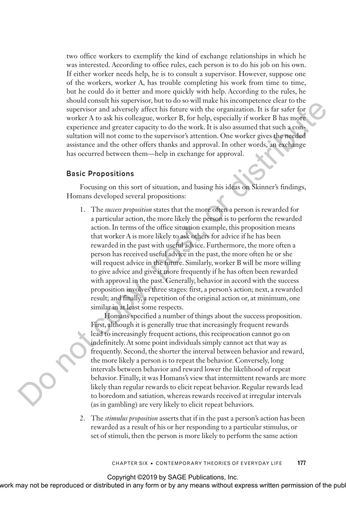two office workers to exemplify the kind of exchange relationships in which he was interested. According to office rules, each person is to do his job on his own. If either worker needs help, he is to consult a supervisor. However, suppose one of the workers, worker A, has trouble completing his work from time to time, but he could do it better and more quickly with help. According to the rules, he should consult his supervisor, but to do so will make his incompetence clear to the supervisor and adversely affect his future with the organization. It is far safer for worker A to ask his colleague, worker B, for help, especially if worker B has more experience and greater capacity to do the work. It is also assumed that such a consultation will not come to the supervisor's attention. One worker gives the needed assistance and the other offers thanks and approval. In other words, an exchange has occurred between them—help in exchange for approval.

## **Basic Propositions**

Focusing on this sort of situation, and basing his ideas on Skinner's findings, Homans developed several propositions:

1. The *success proposition* states that the more often a person is rewarded for a particular action, the more likely the person is to perform the rewarded action. In terms of the office situation example, this proposition means that worker A is more likely to ask others for advice if he has been rewarded in the past with useful advice. Furthermore, the more often a person has received useful advice in the past, the more often he or she will request advice in the future. Similarly, worker B will be more willing to give advice and give it more frequently if he has often been rewarded with approval in the past. Generally, behavior in accord with the success proposition involves three stages: first, a person's action; next, a rewarded result; and finally, a repetition of the original action or, at minimum, one similar in at least some respects. Source to the representation of the representation of the representation of the representation of the representation of the representation of the results of the publisher. This is a control of the such assumed that such a

Homans specified a number of things about the success proposition. First, although it is generally true that increasingly frequent rewards lead to increasingly frequent actions, this reciprocation cannot go on indefinitely. At some point individuals simply cannot act that way as frequently. Second, the shorter the interval between behavior and reward, the more likely a person is to repeat the behavior. Conversely, long intervals between behavior and reward lower the likelihood of repeat behavior. Finally, it was Homans's view that intermittent rewards are more likely than regular rewards to elicit repeat behavior. Regular rewards lead to boredom and satiation, whereas rewards received at irregular intervals (as in gambling) are very likely to elicit repeat behaviors.

2. The *stimulus proposition* asserts that if in the past a person's action has been rewarded as a result of his or her responding to a particular stimulus, or set of stimuli, then the person is more likely to perform the same action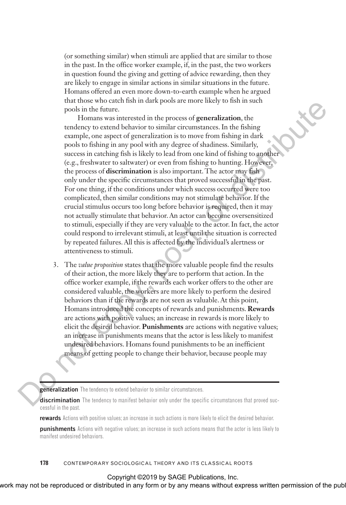(or something similar) when stimuli are applied that are similar to those in the past. In the office worker example, if, in the past, the two workers in question found the giving and getting of advice rewarding, then they are likely to engage in similar actions in similar situations in the future. Homans offered an even more down-to-earth example when he argued that those who catch fish in dark pools are more likely to fish in such pools in the future.

Homans was interested in the process of **generalization**, the tendency to extend behavior to similar circumstances. In the fishing example, one aspect of generalization is to move from fishing in dark pools to fishing in any pool with any degree of shadiness. Similarly, success in catching fish is likely to lead from one kind of fishing to another (e.g., freshwater to saltwater) or even from fishing to hunting. However, the process of **discrimination** is also important. The actor may fish only under the specific circumstances that proved successful in the past. For one thing, if the conditions under which success occurred were too complicated, then similar conditions may not stimulate behavior. If the crucial stimulus occurs too long before behavior is required, then it may not actually stimulate that behavior. An actor can become oversensitized to stimuli, especially if they are very valuable to the actor. In fact, the actor could respond to irrelevant stimuli, at least until the situation is corrected by repeated failures. All this is affected by the individual's alertness or attentiveness to stimuli. The representation is a set of the representation in the representation in the restriction of the restriction or the restriction or the restriction of the restriction of the restriction of the publisher. The fielding seco

3. The *value proposition* states that the more valuable people find the results of their action, the more likely they are to perform that action. In the office worker example, if the rewards each worker offers to the other are considered valuable, the workers are more likely to perform the desired behaviors than if the rewards are not seen as valuable. At this point, Homans introduced the concepts of rewards and punishments. **Rewards**  are actions with positive values; an increase in rewards is more likely to elicit the desired behavior. **Punishments** are actions with negative values; an increase in punishments means that the actor is less likely to manifest undesired behaviors. Homans found punishments to be an inefficient means of getting people to change their behavior, because people may

generalization The tendency to extend behavior to similar circumstances.

discrimination The tendency to manifest behavior only under the specific circumstances that proved successful in the past.

**rewards** Actions with positive values; an increase in such actions is more likely to elicit the desired behavior.

**punishments** Actions with negative values; an increase in such actions means that the actor is less likely to manifest undesired behaviors.

**178** CONTEMPORARY SOCIOLOGICAL THEORY AND ITS CLASSICAL ROOTS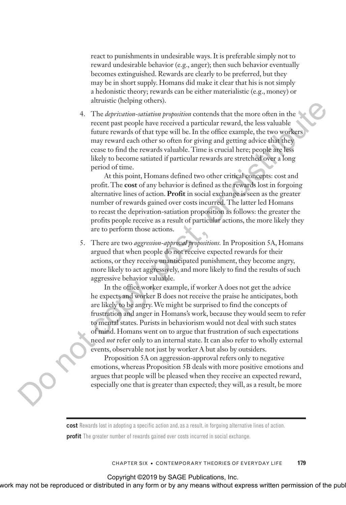react to punishments in undesirable ways. It is preferable simply not to reward undesirable behavior (e.g., anger); then such behavior eventually becomes extinguished. Rewards are clearly to be preferred, but they may be in short supply. Homans did make it clear that his is not simply a hedonistic theory; rewards can be either materialistic (e.g., money) or altruistic (helping others).

4. The *deprivation-satiation proposition* contends that the more often in the recent past people have received a particular reward, the less valuable future rewards of that type will be. In the office example, the two workers may reward each other so often for giving and getting advice that they cease to find the rewards valuable. Time is crucial here; people are less likely to become satiated if particular rewards are stretched over a long period of time.

At this point, Homans defined two other critical concepts: cost and profit. The **cost** of any behavior is defined as the rewards lost in forgoing alternative lines of action. **Profit** in social exchange is seen as the greater number of rewards gained over costs incurred. The latter led Homans to recast the deprivation-satiation proposition as follows: the greater the profits people receive as a result of particular actions, the more likely they are to perform those actions.

5. There are two *aggression-approval propositions.* In Proposition 5A, Homans argued that when people do not receive expected rewards for their actions, or they receive unanticipated punishment, they become angry, more likely to act aggressively, and more likely to find the results of such aggressive behavior valuable.

In the office worker example, if worker A does not get the advice he expects and worker B does not receive the praise he anticipates, both are likely to be angry. We might be surprised to find the concepts of frustration and anger in Homans's work, because they would seem to refer to mental states. Purists in behaviorism would not deal with such states of mind. Homans went on to argue that frustration of such expectations need *not* refer only to an internal state. It can also refer to wholly external events, observable not just by worker A but also by outsiders. The electrocity control or the reproduced or the reproduced or the publisher. The show that the reproduced in the reproduced in the state with the state of the publisher. Thus we can be represented to the representation of

Proposition 5A on aggression-approval refers only to negative emotions, whereas Proposition 5B deals with more positive emotions and argues that people will be pleased when they receive an expected reward, especially one that is greater than expected; they will, as a result, be more

cost Rewards lost in adopting a specific action and, as a result, in forgoing alternative lines of action.

profit The greater number of rewards gained over costs incurred in social exchange.

chapter six • Contemporary Theories of Everyday Life **179**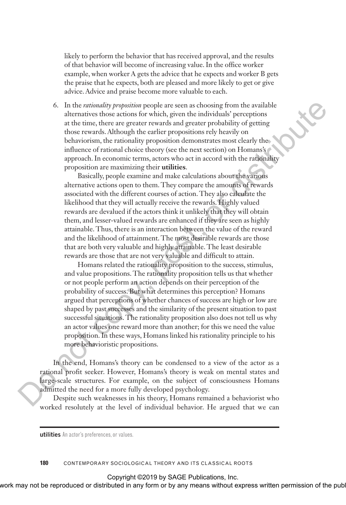likely to perform the behavior that has received approval, and the results of that behavior will become of increasing value. In the office worker example, when worker A gets the advice that he expects and worker B gets the praise that he expects, both are pleased and more likely to get or give advice. Advice and praise become more valuable to each.

6. In the *rationality proposition* people are seen as choosing from the available alternatives those actions for which, given the individuals' perceptions at the time, there are greater rewards and greater probability of getting those rewards. Although the earlier propositions rely heavily on behaviorism, the rationality proposition demonstrates most clearly the influence of rational choice theory (see the next section) on Homans's approach. In economic terms, actors who act in accord with the rationality proposition are maximizing their **utilities**.

Basically, people examine and make calculations about the various alternative actions open to them. They compare the amounts of rewards associated with the different courses of action. They also calculate the likelihood that they will actually receive the rewards. Highly valued rewards are devalued if the actors think it unlikely that they will obtain them, and lesser-valued rewards are enhanced if they are seen as highly attainable. Thus, there is an interaction between the value of the reward and the likelihood of attainment. The most desirable rewards are those that are both very valuable and highly attainable. The least desirable rewards are those that are not very valuable and difficult to attain.

Homans related the rationality proposition to the success, stimulus, and value propositions. The rationality proposition tells us that whether or not people perform an action depends on their perception of the probability of success. But what determines this perception? Homans argued that perceptions of whether chances of success are high or low are shaped by past successes and the similarity of the present situation to past successful situations. The rationality proposition also does not tell us why an actor values one reward more than another; for this we need the value proposition. In these ways, Homans linked his rationality principle to his more behavioristic propositions. 6. In charge the rest are personent and any proportion of the rest are permission of the publisher. This time the content of the publisher or the product or the publisher of the publisher. The inferred or the publisher of

In the end, Homans's theory can be condensed to a view of the actor as a rational profit seeker. However, Homans's theory is weak on mental states and large-scale structures. For example, on the subject of consciousness Homans admitted the need for a more fully developed psychology.

Despite such weaknesses in his theory, Homans remained a behaviorist who worked resolutely at the level of individual behavior. He argued that we can

utilities An actor's preferences, or values.

#### **180** CONTEMPORARY SOCIOLOGICAL THEORY AND ITS CLASSICAL ROOTS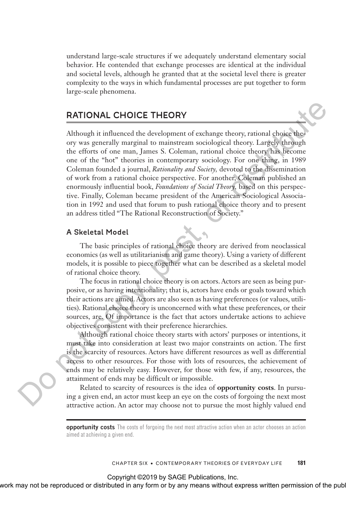understand large-scale structures if we adequately understand elementary social behavior. He contended that exchange processes are identical at the individual and societal levels, although he granted that at the societal level there is greater complexity to the ways in which fundamental processes are put together to form large-scale phenomena.

# **RATIONAL CHOICE THEORY**

Although it influenced the development of exchange theory, rational choice theory was generally marginal to mainstream sociological theory. Largely through the efforts of one man, James S. Coleman, rational choice theory has become one of the "hot" theories in contemporary sociology. For one thing, in 1989 Coleman founded a journal, *Rationality and Society,* devoted to the dissemination of work from a rational choice perspective. For another, Coleman published an enormously influential book, *Foundations of Social Theory,* based on this perspective. Finally, Coleman became president of the American Sociological Association in 1992 and used that forum to push rational choice theory and to present an address titled "The Rational Reconstruction of Society." **RATIONAL CHOICE THEORY**<br>
Although it initiation mainstrains conformed through the reproduced intervals with the reproduced in a means more of the function in a means written of the reproduced in a means where the publish

### **A Skeletal Model**

The basic principles of rational choice theory are derived from neoclassical economics (as well as utilitarianism and game theory). Using a variety of different models, it is possible to piece together what can be described as a skeletal model of rational choice theory.

The focus in rational choice theory is on actors. Actors are seen as being purposive, or as having intentionality; that is, actors have ends or goals toward which their actions are aimed. Actors are also seen as having preferences (or values, utilities). Rational choice theory is unconcerned with what these preferences, or their sources, are. Of importance is the fact that actors undertake actions to achieve objectives consistent with their preference hierarchies.

Although rational choice theory starts with actors' purposes or intentions, it must take into consideration at least two major constraints on action. The first is the scarcity of resources. Actors have different resources as well as differential access to other resources. For those with lots of resources, the achievement of ends may be relatively easy. However, for those with few, if any, resources, the attainment of ends may be difficult or impossible.

Related to scarcity of resources is the idea of **opportunity costs**. In pursuing a given end, an actor must keep an eye on the costs of forgoing the next most attractive action. An actor may choose not to pursue the most highly valued end

opportunity costs The costs of forgoing the next most attractive action when an actor chooses an action aimed at achieving a given end.

chapter six • Contemporary Theories of Everyday Life **181**

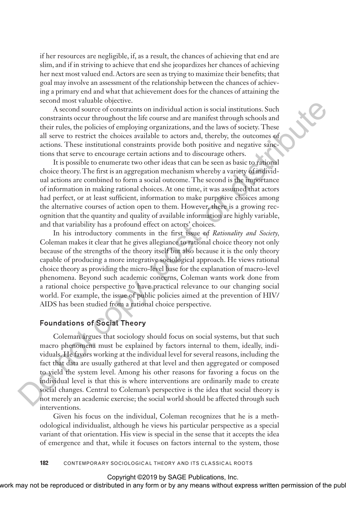if her resources are negligible, if, as a result, the chances of achieving that end are slim, and if in striving to achieve that end she jeopardizes her chances of achieving her next most valued end. Actors are seen as trying to maximize their benefits; that goal may involve an assessment of the relationship between the chances of achieving a primary end and what that achievement does for the chances of attaining the second most valuable objective.

A second source of constraints on individual action is social institutions. Such constraints occur throughout the life course and are manifest through schools and their rules, the policies of employing organizations, and the laws of society. These all serve to restrict the choices available to actors and, thereby, the outcomes of actions. These institutional constraints provide both positive and negative sanctions that serve to encourage certain actions and to discourage others.

It is possible to enumerate two other ideas that can be seen as basic to rational choice theory. The first is an aggregation mechanism whereby a variety of individual actions are combined to form a social outcome. The second is the importance of information in making rational choices. At one time, it was assumed that actors had perfect, or at least sufficient, information to make purposive choices among the alternative courses of action open to them. However, there is a growing recognition that the quantity and quality of available information are highly variable, and that variability has a profound effect on actors' choices.

In his introductory comments in the first issue of *Rationality and Society,*  Coleman makes it clear that he gives allegiance to rational choice theory not only because of the strengths of the theory itself but also because it is the only theory capable of producing a more integrative sociological approach. He views rational choice theory as providing the micro-level base for the explanation of macro-level phenomena. Beyond such academic concerns, Coleman wants work done from a rational choice perspective to have practical relevance to our changing social world. For example, the issue of public policies aimed at the prevention of HIV/ AIDS has been studied from a rational choice perspective. Sometimes the rest may not be reproduced or distributed in any form or by a state of the reproduced or distributed in any form or by any form or the results of the results with the results of the publisher. The content in

## **Foundations of Social Theory**

Coleman argues that sociology should focus on social systems, but that such macro phenomena must be explained by factors internal to them, ideally, individuals. He favors working at the individual level for several reasons, including the fact that data are usually gathered at that level and then aggregated or composed to yield the system level. Among his other reasons for favoring a focus on the individual level is that this is where interventions are ordinarily made to create social changes. Central to Coleman's perspective is the idea that social theory is not merely an academic exercise; the social world should be affected through such interventions.

Given his focus on the individual, Coleman recognizes that he is a methodological individualist, although he views his particular perspective as a special variant of that orientation. His view is special in the sense that it accepts the idea of emergence and that, while it focuses on factors internal to the system, those

#### **182** CONTEMPORARY SOCIOLOGICAL THEORY AND ITS CLASSICAL ROOTS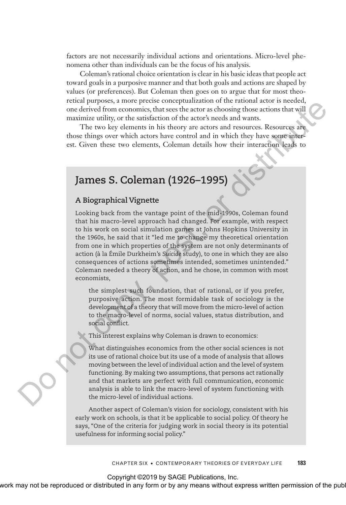factors are not necessarily individual actions and orientations. Micro-level phenomena other than individuals can be the focus of his analysis.

Coleman's rational choice orientation is clear in his basic ideas that people act toward goals in a purposive manner and that both goals and actions are shaped by values (or preferences). But Coleman then goes on to argue that for most theoretical purposes, a more precise conceptualization of the rational actor is needed, one derived from economics, that sees the actor as choosing those actions that will maximize utility, or the satisfaction of the actor's needs and wants.

The two key elements in his theory are actors and resources. Resources are those things over which actors have control and in which they have some interest. Given these two elements, Coleman details how their interaction leads to

# **James S. Coleman (1926–1995)**

# **A Biographical Vignette**

Looking back from the vantage point of the mid-1990s, Coleman found that his macro-level approach had changed. For example, with respect to his work on social simulation games at Johns Hopkins University in the 1960s, he said that it "led me to change my theoretical orientation from one in which properties of the system are not only determinants of action (à la Émile Durkheim's *Suicide* study), to one in which they are also consequences of actions sometimes intended, sometimes unintended." Coleman needed a theory of action, and he chose, in common with most economists, The results of the simple is work may not be repressed to the repressed or distributed in any form or by a permission in a permission or distributed in any form or by any means with the publisher. The repressed in the pub

the simplest such foundation, that of rational, or if you prefer, purposive action. The most formidable task of sociology is the development of a theory that will move from the micro-level of action to the macro-level of norms, social values, status distribution, and social conflict.

This interest explains why Coleman is drawn to economics:

What distinguishes economics from the other social sciences is not its use of rational choice but its use of a mode of analysis that allows moving between the level of individual action and the level of system functioning. By making two assumptions, that persons act rationally and that markets are perfect with full communication, economic analysis is able to link the macro-level of system functioning with the micro-level of individual actions.

Another aspect of Coleman's vision for sociology, consistent with his early work on schools, is that it be applicable to social policy. Of theory he says, "One of the criteria for judging work in social theory is its potential usefulness for informing social policy."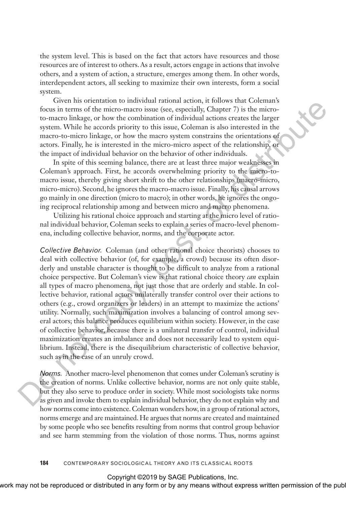the system level. This is based on the fact that actors have resources and those resources are of interest to others. As a result, actors engage in actions that involve others, and a system of action, a structure, emerges among them. In other words, interdependent actors, all seeking to maximize their own interests, form a social system.

Given his orientation to individual rational action, it follows that Coleman's focus in terms of the micro-macro issue (see, especially, Chapter 7) is the microto-macro linkage, or how the combination of individual actions creates the larger system. While he accords priority to this issue, Coleman is also interested in the macro-to-micro linkage, or how the macro system constrains the orientations of actors. Finally, he is interested in the micro-micro aspect of the relationship, or the impact of individual behavior on the behavior of other individuals.

In spite of this seeming balance, there are at least three major weaknesses in Coleman's approach. First, he accords overwhelming priority to the micro-tomacro issue, thereby giving short shrift to the other relationships (macro-micro, micro-micro). Second, he ignores the macro-macro issue. Finally, his causal arrows go mainly in one direction (micro to macro); in other words, he ignores the ongoing reciprocal relationship among and between micro and macro phenomena.

Utilizing his rational choice approach and starting at the micro level of rational individual behavior, Coleman seeks to explain a series of macro-level phenomena, including collective behavior, norms, and the corporate actor.

*Collective Behavior.* Coleman (and other rational choice theorists) chooses to deal with collective behavior (of, for example, a crowd) because its often disorderly and unstable character is thought to be difficult to analyze from a rational choice perspective. But Coleman's view is that rational choice theory *can* explain all types of macro phenomena, not just those that are orderly and stable. In collective behavior, rational actors unilaterally transfer control over their actions to others (e.g., crowd organizers or leaders) in an attempt to maximize the actions' utility. Normally, such maximization involves a balancing of control among several actors; this balance produces equilibrium within society. However, in the case of collective behavior, because there is a unilateral transfer of control, individual maximization creates an imbalance and does not necessarily lead to system equilibrium. Instead, there is the disequilibrium characteristic of collective behavior, such as in the case of an unruly crowd. The control or the repression of the reproduced or distributed in any form or by any means which is a control or the between the state of the state of the state of the publisher. While he are represented in the state of t

*Norms.* Another macro-level phenomenon that comes under Coleman's scrutiny is the creation of norms. Unlike collective behavior, norms are not only quite stable, but they also serve to produce order in society. While most sociologists take norms as given and invoke them to explain individual behavior, they do not explain why and how norms come into existence. Coleman wonders how, in a group of rational actors, norms emerge and are maintained. He argues that norms are created and maintained by some people who see benefits resulting from norms that control group behavior and see harm stemming from the violation of those norms. Thus, norms against

#### **184** CONTEMPORARY SOCIOLOGICAL THEORY AND ITS CLASSICAL ROOTS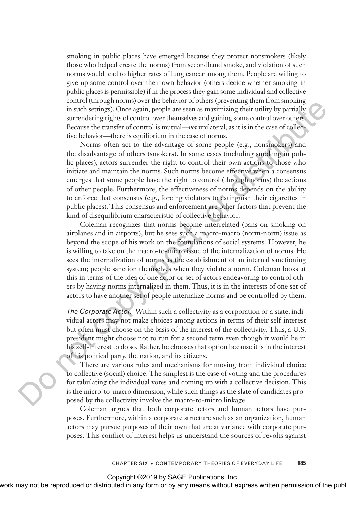smoking in public places have emerged because they protect nonsmokers (likely those who helped create the norms) from secondhand smoke, and violation of such norms would lead to higher rates of lung cancer among them. People are willing to give up some control over their own behavior (others decide whether smoking in public places is permissible) if in the process they gain some individual and collective control (through norms) over the behavior of others (preventing them from smoking in such settings). Once again, people are seen as maximizing their utility by partially surrendering rights of control over themselves and gaining some control over others. Because the transfer of control is mutual—*not* unilateral, as it is in the case of collective behavior—there is equilibrium in the case of norms.

Norms often act to the advantage of some people (e.g., nonsmokers) and the disadvantage of others (smokers). In some cases (including smoking in public places), actors surrender the right to control their own actions to those who initiate and maintain the norms. Such norms become effective when a consensus emerges that some people have the right to control (through norms) the actions of other people. Furthermore, the effectiveness of norms depends on the ability to enforce that consensus (e.g., forcing violators to extinguish their cigarettes in public places). This consensus and enforcement are other factors that prevent the kind of disequilibrium characteristic of collective behavior. From the matter or the train of the matter or distributed in the results of the repression of the publisher. The complete the reproduced in any form or by any means we reproduced by any form of the publisher. We behavior-

Coleman recognizes that norms become interrelated (bans on smoking on airplanes and in airports), but he sees such a macro-macro (norm-norm) issue as beyond the scope of his work on the foundations of social systems. However, he is willing to take on the macro-to-micro issue of the internalization of norms. He sees the internalization of norms as the establishment of an internal sanctioning system; people sanction themselves when they violate a norm. Coleman looks at this in terms of the idea of one actor or set of actors endeavoring to control others by having norms internalized in them. Thus, it is in the interests of one set of actors to have another set of people internalize norms and be controlled by them.

*The Corporate Actor.* Within such a collectivity as a corporation or a state, individual actors may not make choices among actions in terms of their self-interest but often must choose on the basis of the interest of the collectivity. Thus, a U.S. president might choose not to run for a second term even though it would be in his self-interest to do so. Rather, he chooses that option because it is in the interest of his political party, the nation, and its citizens.

There are various rules and mechanisms for moving from individual choice to collective (social) choice. The simplest is the case of voting and the procedures for tabulating the individual votes and coming up with a collective decision. This is the micro-to-macro dimension, while such things as the slate of candidates proposed by the collectivity involve the macro-to-micro linkage.

Coleman argues that both corporate actors and human actors have purposes. Furthermore, within a corporate structure such as an organization, human actors may pursue purposes of their own that are at variance with corporate purposes. This conflict of interest helps us understand the sources of revolts against

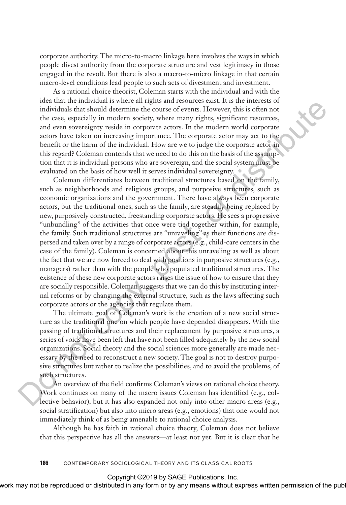corporate authority. The micro-to-macro linkage here involves the ways in which people divest authority from the corporate structure and vest legitimacy in those engaged in the revolt. But there is also a macro-to-micro linkage in that certain macro-level conditions lead people to such acts of divestment and investment.

As a rational choice theorist, Coleman starts with the individual and with the idea that the individual is where all rights and resources exist. It is the interests of individuals that should determine the course of events. However, this is often not the case, especially in modern society, where many rights, significant resources, and even sovereignty reside in corporate actors. In the modern world corporate actors have taken on increasing importance. The corporate actor may act to the benefit or the harm of the individual. How are we to judge the corporate actor in this regard? Coleman contends that we need to do this on the basis of the assumption that it is individual persons who are sovereign, and the social system must be evaluated on the basis of how well it serves individual sovereignty.

Coleman differentiates between traditional structures based on the family, such as neighborhoods and religious groups, and purposive structures, such as economic organizations and the government. There have always been corporate actors, but the traditional ones, such as the family, are steadily being replaced by new, purposively constructed, freestanding corporate actors. He sees a progressive "unbundling" of the activities that once were tied together within, for example, the family. Such traditional structures are "unraveling" as their functions are dispersed and taken over by a range of corporate actors (e.g., child-care centers in the case of the family). Coleman is concerned about this unraveling as well as about the fact that we are now forced to deal with positions in purposive structures (e.g., managers) rather than with the people who populated traditional structures. The existence of these new corporate actors raises the issue of how to ensure that they are socially responsible. Coleman suggests that we can do this by instituting internal reforms or by changing the external structure, such as the laws affecting such corporate actors or the agencies that regulate them. The rest may not be reproduced or distributed in the rest or distributed in any means we represent the rest or distributed in any means we represent the publisher. The involunce was seen to the publisher of the publisher.

The ultimate goal of Coleman's work is the creation of a new social structure as the traditional one on which people have depended disappears. With the passing of traditional structures and their replacement by purposive structures, a series of voids have been left that have not been filled adequately by the new social organizations. Social theory and the social sciences more generally are made necessary by the need to reconstruct a new society. The goal is not to destroy purposive structures but rather to realize the possibilities, and to avoid the problems, of such structures.

An overview of the field confirms Coleman's views on rational choice theory. Work continues on many of the macro issues Coleman has identified (e.g., collective behavior), but it has also expanded not only into other macro areas (e.g., social stratification) but also into micro areas (e.g., emotions) that one would not immediately think of as being amenable to rational choice analysis.

Although he has faith in rational choice theory, Coleman does not believe that this perspective has all the answers—at least not yet. But it is clear that he

#### **186** CONTEMPORARY SOCIOLOGICAL THEORY AND ITS CLASSICAL ROOTS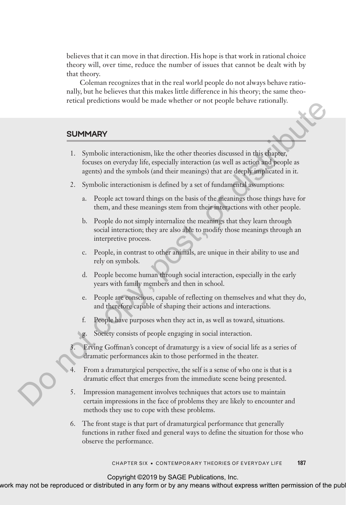believes that it can move in that direction. His hope is that work in rational choice theory will, over time, reduce the number of issues that cannot be dealt with by that theory.

Coleman recognizes that in the real world people do not always behave rationally, but he believes that this makes little difference in his theory; the same theoretical predictions would be made whether or not people behave rationally.

## **SUMMARY**

- 1. Symbolic interactionism, like the other theories discussed in this chapter, focuses on everyday life, especially interaction (as well as action and people as agents) and the symbols (and their meanings) that are deeply implicated in it. The published or the reproduced or the reproduced or distributed in any form or between or every between the positive permission or  $\alpha$  and  $\alpha$  any form or  $\alpha$  any  $\alpha$  and  $\alpha$  any  $\alpha$  any  $\alpha$  any  $\alpha$  any  $\alpha$  any
	- 2. Symbolic interactionism is defined by a set of fundamental assumptions:
		- a. People act toward things on the basis of the meanings those things have for them, and these meanings stem from their interactions with other people.
		- b. People do not simply internalize the meanings that they learn through social interaction; they are also able to modify those meanings through an interpretive process.
		- c. People, in contrast to other animals, are unique in their ability to use and rely on symbols.
		- d. People become human through social interaction, especially in the early years with family members and then in school.
		- e. People are conscious, capable of reflecting on themselves and what they do, and therefore capable of shaping their actions and interactions.
		- f. People have purposes when they act in, as well as toward, situations.
		- Society consists of people engaging in social interaction.
	- Erving Goffman's concept of dramaturgy is a view of social life as a series of dramatic performances akin to those performed in the theater.
	- 4. From a dramaturgical perspective, the self is a sense of who one is that is a dramatic effect that emerges from the immediate scene being presented.
	- 5. Impression management involves techniques that actors use to maintain certain impressions in the face of problems they are likely to encounter and methods they use to cope with these problems.
	- 6. The front stage is that part of dramaturgical performance that generally functions in rather fixed and general ways to define the situation for those who observe the performance.

chapter six • Contemporary Theories of Everyday Life **187**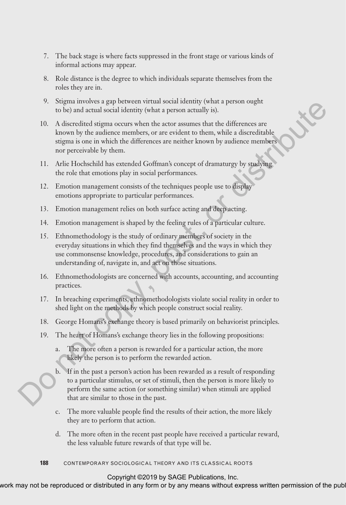- 7. The back stage is where facts suppressed in the front stage or various kinds of informal actions may appear.
- 8. Role distance is the degree to which individuals separate themselves from the roles they are in.
- 9. Stigma involves a gap between virtual social identity (what a person ought to be) and actual social identity (what a person actually is).
- 10. A discredited stigma occurs when the actor assumes that the differences are known by the audience members, or are evident to them, while a discreditable stigma is one in which the differences are neither known by audience members nor perceivable by them. This work may not be repress with the difference or distributed in any form or by any means when the recent state the differences are the publisher of the difference or by any means the publisher.<br>
However the publisher o
	- 11. Arlie Hochschild has extended Goffman's concept of dramaturgy by studying the role that emotions play in social performances.
	- 12. Emotion management consists of the techniques people use to display emotions appropriate to particular performances.
	- 13. Emotion management relies on both surface acting and deep acting.
	- 14. Emotion management is shaped by the feeling rules of a particular culture.
	- 15. Ethnomethodology is the study of ordinary members of society in the everyday situations in which they find themselves and the ways in which they use commonsense knowledge, procedures, and considerations to gain an understanding of, navigate in, and act on those situations.
	- 16. Ethnomethodologists are concerned with accounts, accounting, and accounting practices.
	- 17. In breaching experiments, ethnomethodologists violate social reality in order to shed light on the methods by which people construct social reality.
	- 18. George Homans's exchange theory is based primarily on behaviorist principles.
	- 19. The heart of Homans's exchange theory lies in the following propositions:
		- a. The more often a person is rewarded for a particular action, the more likely the person is to perform the rewarded action.
		- b. If in the past a person's action has been rewarded as a result of responding to a particular stimulus, or set of stimuli, then the person is more likely to perform the same action (or something similar) when stimuli are applied that are similar to those in the past.
		- c. The more valuable people find the results of their action, the more likely they are to perform that action.
		- d. The more often in the recent past people have received a particular reward, the less valuable future rewards of that type will be.
	- **188** CONTEMPORARY SOCIOLOGICAL THEORY AND ITS CLASSICAL ROOTS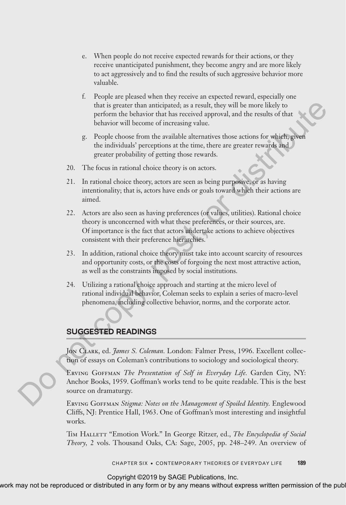- e. When people do not receive expected rewards for their actions, or they receive unanticipated punishment, they become angry and are more likely to act aggressively and to find the results of such aggressive behavior more valuable.
- f. People are pleased when they receive an expected reward, especially one that is greater than anticipated; as a result, they will be more likely to perform the behavior that has received approval, and the results of that behavior will become of increasing value.
- g. People choose from the available alternatives those actions for which, given the individuals' perceptions at the time, there are greater rewards and greater probability of getting those rewards.
- 20. The focus in rational choice theory is on actors.
- 21. In rational choice theory, actors are seen as being purposive, or as having intentionality; that is, actors have ends or goals toward which their actions are aimed.
- 22. Actors are also seen as having preferences (or values, utilities). Rational choice theory is unconcerned with what these preferences, or their sources, are. Of importance is the fact that actors undertake actions to achieve objectives consistent with their preference hierarchies. This present than anothering value of the rest of the most may be represented or the publisher. The copy is the reproduced or the publisher of the publisher. The copy is the reproduced or the publisher. The publisher of t
	- 23. In addition, rational choice theory must take into account scarcity of resources and opportunity costs, or the costs of forgoing the next most attractive action, as well as the constraints imposed by social institutions.
	- 24. Utilizing a rational choice approach and starting at the micro level of rational individual behavior, Coleman seeks to explain a series of macro-level phenomena, including collective behavior, norms, and the corporate actor.

# SUGGESTED READINGS

Jon Clark, ed. *James S. Coleman.* London: Falmer Press, 1996. Excellent collection of essays on Coleman's contributions to sociology and sociological theory.

Erving Goffman *The Presentation of Self in Everyday Life.* Garden City, NY: Anchor Books, 1959. Goffman's works tend to be quite readable. This is the best source on dramaturgy.

Erving Goffman *Stigma: Notes on the Management of Spoiled Identity.* Englewood Cliffs, NJ: Prentice Hall, 1963. One of Goffman's most interesting and insightful works.

Tim Hallett "Emotion Work." In George Ritzer, ed., *The Encyclopedia of Social Theory,* 2 vols. Thousand Oaks, CA: Sage, 2005, pp. 248–249. An overview of

chapter six • Contemporary Theories of Everyday Life **189**